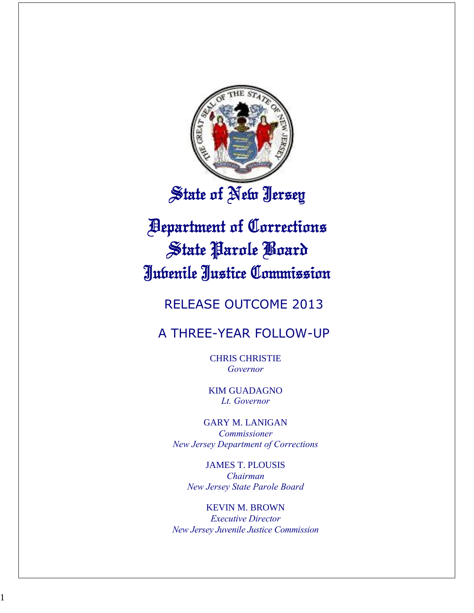

# State of New Jersey

# **Pepartment of Corrections** State Parole Board Jubenile Justice Commission

# RELEASE OUTCOME 2013

## A THREE-YEAR FOLLOW-UP

CHRIS CHRISTIE *Governor*

KIM GUADAGNO *Lt. Governor*

GARY M. LANIGAN *Commissioner New Jersey Department of Corrections*

JAMES T. PLOUSIS *Chairman New Jersey State Parole Board*

KEVIN M. BROWN *Executive Director New Jersey Juvenile Justice Commission*

1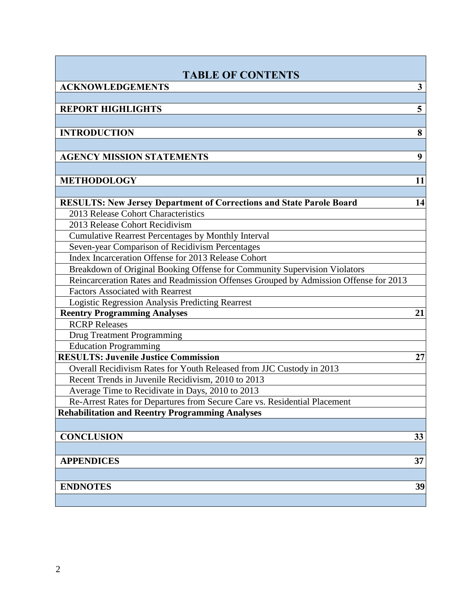| <b>TABLE OF CONTENTS</b>                                                             |    |
|--------------------------------------------------------------------------------------|----|
| <b>ACKNOWLEDGEMENTS</b>                                                              | 3  |
|                                                                                      |    |
| <b>REPORT HIGHLIGHTS</b>                                                             | 5  |
|                                                                                      |    |
| <b>INTRODUCTION</b>                                                                  | 8  |
|                                                                                      |    |
| <b>AGENCY MISSION STATEMENTS</b>                                                     | 9  |
|                                                                                      |    |
| <b>METHODOLOGY</b>                                                                   | 11 |
|                                                                                      |    |
| <b>RESULTS: New Jersey Department of Corrections and State Parole Board</b>          | 14 |
| 2013 Release Cohort Characteristics                                                  |    |
| 2013 Release Cohort Recidivism                                                       |    |
| Cumulative Rearrest Percentages by Monthly Interval                                  |    |
| Seven-year Comparison of Recidivism Percentages                                      |    |
| Index Incarceration Offense for 2013 Release Cohort                                  |    |
| Breakdown of Original Booking Offense for Community Supervision Violators            |    |
| Reincarceration Rates and Readmission Offenses Grouped by Admission Offense for 2013 |    |
| <b>Factors Associated with Rearrest</b>                                              |    |
| Logistic Regression Analysis Predicting Rearrest                                     |    |
| <b>Reentry Programming Analyses</b>                                                  | 21 |
| <b>RCRP</b> Releases                                                                 |    |
| <b>Drug Treatment Programming</b>                                                    |    |
| <b>Education Programming</b>                                                         |    |
| <b>RESULTS: Juvenile Justice Commission</b>                                          | 27 |
| Overall Recidivism Rates for Youth Released from JJC Custody in 2013                 |    |
| Recent Trends in Juvenile Recidivism, 2010 to 2013                                   |    |
| Average Time to Recidivate in Days, 2010 to 2013                                     |    |
| Re-Arrest Rates for Departures from Secure Care vs. Residential Placement            |    |
| <b>Rehabilitation and Reentry Programming Analyses</b>                               |    |
|                                                                                      |    |
| <b>CONCLUSION</b>                                                                    | 33 |
|                                                                                      |    |
| <b>APPENDICES</b>                                                                    | 37 |
|                                                                                      |    |
| <b>ENDNOTES</b>                                                                      | 39 |
|                                                                                      |    |
|                                                                                      |    |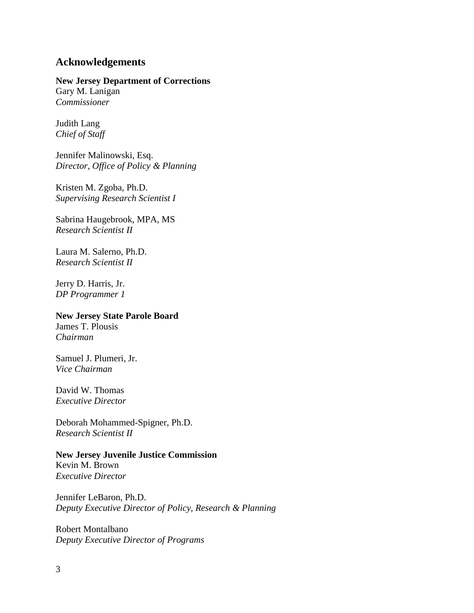## **Acknowledgements**

## **New Jersey Department of Corrections**

Gary M. Lanigan *Commissioner*

Judith Lang *Chief of Staff*

Jennifer Malinowski, Esq. *Director, Office of Policy & Planning*

Kristen M. Zgoba, Ph.D. *Supervising Research Scientist I*

Sabrina Haugebrook, MPA, MS *Research Scientist II*

Laura M. Salerno, Ph.D. *Research Scientist II*

Jerry D. Harris, Jr. *DP Programmer 1* 

## **New Jersey State Parole Board**

James T. Plousis *Chairman*

Samuel J. Plumeri, Jr. *Vice Chairman*

David W. Thomas *Executive Director*

Deborah Mohammed-Spigner, Ph.D. *Research Scientist II*

## **New Jersey Juvenile Justice Commission**

Kevin M. Brown *Executive Director*

Jennifer LeBaron, Ph.D. *Deputy Executive Director of Policy, Research & Planning*

Robert Montalbano *Deputy Executive Director of Programs*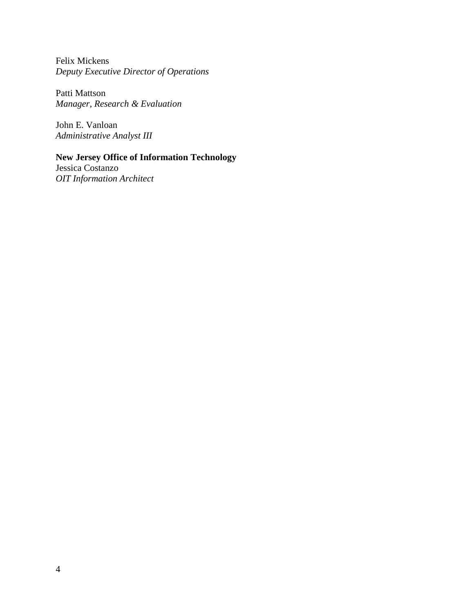Felix Mickens *Deputy Executive Director of Operations*

Patti Mattson *Manager, Research & Evaluation*

John E. Vanloan *Administrative Analyst III*

## **New Jersey Office of Information Technology**

Jessica Costanzo *OIT Information Architect*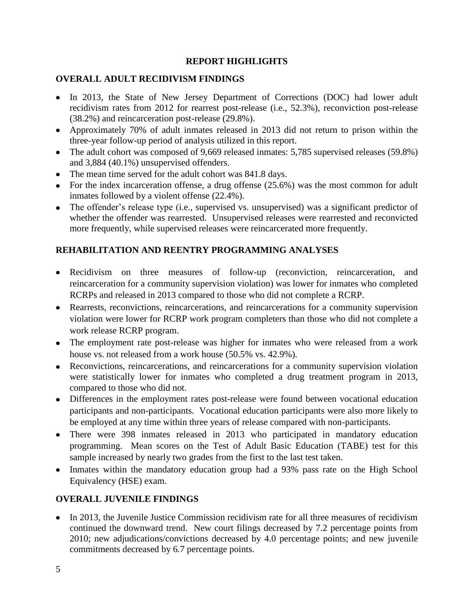## **REPORT HIGHLIGHTS**

## **OVERALL ADULT RECIDIVISM FINDINGS**

- In 2013, the State of New Jersey Department of Corrections (DOC) had lower adult recidivism rates from 2012 for rearrest post-release (i.e., 52.3%), reconviction post-release (38.2%) and reincarceration post-release (29.8%).
- Approximately 70% of adult inmates released in 2013 did not return to prison within the three-year follow-up period of analysis utilized in this report.
- The adult cohort was composed of 9,669 released inmates: 5,785 supervised releases (59.8%) and 3,884 (40.1%) unsupervised offenders.
- The mean time served for the adult cohort was 841.8 days.
- For the index incarceration offense, a drug offense (25.6%) was the most common for adult inmates followed by a violent offense (22.4%).
- The offender's release type (i.e., supervised vs. unsupervised) was a significant predictor of whether the offender was rearrested. Unsupervised releases were rearrested and reconvicted more frequently, while supervised releases were reincarcerated more frequently.

## **REHABILITATION AND REENTRY PROGRAMMING ANALYSES**

- Recidivism on three measures of follow-up (reconviction, reincarceration, and reincarceration for a community supervision violation) was lower for inmates who completed RCRPs and released in 2013 compared to those who did not complete a RCRP.
- Rearrests, reconvictions, reincarcerations, and reincarcerations for a community supervision violation were lower for RCRP work program completers than those who did not complete a work release RCRP program.
- The employment rate post-release was higher for inmates who were released from a work house vs. not released from a work house (50.5% vs. 42.9%).
- Reconvictions, reincarcerations, and reincarcerations for a community supervision violation were statistically lower for inmates who completed a drug treatment program in 2013, compared to those who did not.
- Differences in the employment rates post-release were found between vocational education participants and non-participants. Vocational education participants were also more likely to be employed at any time within three years of release compared with non-participants.
- There were 398 inmates released in 2013 who participated in mandatory education programming. Mean scores on the Test of Adult Basic Education (TABE) test for this sample increased by nearly two grades from the first to the last test taken.
- Inmates within the mandatory education group had a 93% pass rate on the High School Equivalency (HSE) exam.

## **OVERALL JUVENILE FINDINGS**

• In 2013, the Juvenile Justice Commission recidivism rate for all three measures of recidivism continued the downward trend. New court filings decreased by 7.2 percentage points from 2010; new adjudications/convictions decreased by 4.0 percentage points; and new juvenile commitments decreased by 6.7 percentage points.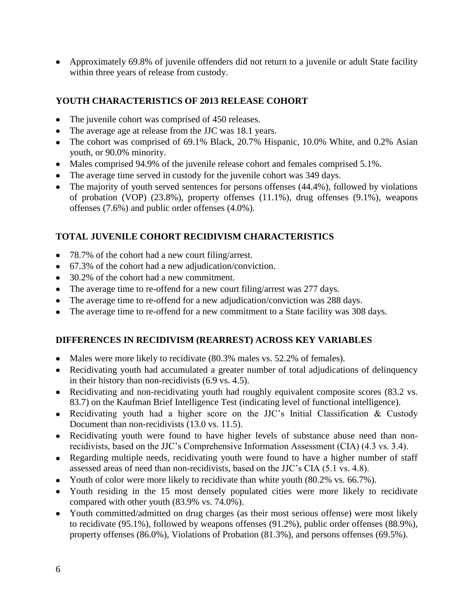Approximately 69.8% of juvenile offenders did not return to a juvenile or adult State facility within three years of release from custody.

## **YOUTH CHARACTERISTICS OF 2013 RELEASE COHORT**

- The juvenile cohort was comprised of 450 releases.  $\bullet$
- The average age at release from the JJC was 18.1 years.
- The cohort was comprised of 69.1% Black, 20.7% Hispanic, 10.0% White, and 0.2% Asian youth, or 90.0% minority.
- Males comprised 94.9% of the juvenile release cohort and females comprised 5.1%.
- The average time served in custody for the juvenile cohort was 349 days.
- The majority of youth served sentences for persons offenses (44.4%), followed by violations of probation (VOP) (23.8%), property offenses (11.1%), drug offenses (9.1%), weapons offenses (7.6%) and public order offenses (4.0%).

## **TOTAL JUVENILE COHORT RECIDIVISM CHARACTERISTICS**

- 78.7% of the cohort had a new court filing/arrest.
- 67.3% of the cohort had a new adjudication/conviction.
- 30.2% of the cohort had a new commitment.
- The average time to re-offend for a new court filing/arrest was 277 days.
- The average time to re-offend for a new adjudication/conviction was 288 days.
- The average time to re-offend for a new commitment to a State facility was 308 days.

## **DIFFERENCES IN RECIDIVISM (REARREST) ACROSS KEY VARIABLES**

- Males were more likely to recidivate (80.3% males vs. 52.2% of females).
- Recidivating youth had accumulated a greater number of total adjudications of delinquency in their history than non-recidivists (6.9 vs. 4.5).
- Recidivating and non-recidivating youth had roughly equivalent composite scores (83.2 vs.) 83.7) on the Kaufman Brief Intelligence Test (indicating level of functional intelligence).
- Recidivating youth had a higher score on the JJC's Initial Classification & Custody Document than non-recidivists (13.0 vs. 11.5).
- Recidivating youth were found to have higher levels of substance abuse need than nonrecidivists, based on the JJC's Comprehensive Information Assessment (CIA) (4.3 vs. 3.4).
- Regarding multiple needs, recidivating youth were found to have a higher number of staff assessed areas of need than non-recidivists, based on the JJC's CIA (5.1 vs. 4.8).
- Youth of color were more likely to recidivate than white youth (80.2% vs. 66.7%).
- Youth residing in the 15 most densely populated cities were more likely to recidivate compared with other youth (83.9% vs. 74.0%).
- Youth committed/admitted on drug charges (as their most serious offense) were most likely to recidivate (95.1%), followed by weapons offenses (91.2%), public order offenses (88.9%), property offenses (86.0%), Violations of Probation (81.3%), and persons offenses (69.5%).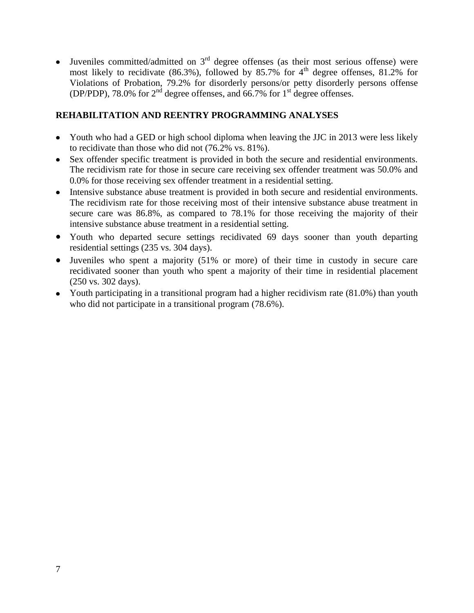Juveniles committed/admitted on  $3<sup>rd</sup>$  degree offenses (as their most serious offense) were  $\bullet$ most likely to recidivate (86.3%), followed by 85.7% for 4<sup>th</sup> degree offenses, 81.2% for Violations of Probation, 79.2% for disorderly persons/or petty disorderly persons offense (DP/PDP), 78.0% for  $2<sup>nd</sup>$  degree offenses, and 66.7% for  $1<sup>st</sup>$  degree offenses.

## **REHABILITATION AND REENTRY PROGRAMMING ANALYSES**

- Youth who had a GED or high school diploma when leaving the JJC in 2013 were less likely to recidivate than those who did not (76.2% vs. 81%).
- Sex offender specific treatment is provided in both the secure and residential environments. The recidivism rate for those in secure care receiving sex offender treatment was 50.0% and 0.0% for those receiving sex offender treatment in a residential setting.
- Intensive substance abuse treatment is provided in both secure and residential environments. The recidivism rate for those receiving most of their intensive substance abuse treatment in secure care was 86.8%, as compared to 78.1% for those receiving the majority of their intensive substance abuse treatment in a residential setting.
- Youth who departed secure settings recidivated 69 days sooner than youth departing residential settings (235 vs. 304 days).
- Juveniles who spent a majority (51% or more) of their time in custody in secure care recidivated sooner than youth who spent a majority of their time in residential placement (250 vs. 302 days).
- Youth participating in a transitional program had a higher recidivism rate (81.0%) than youth who did not participate in a transitional program (78.6%).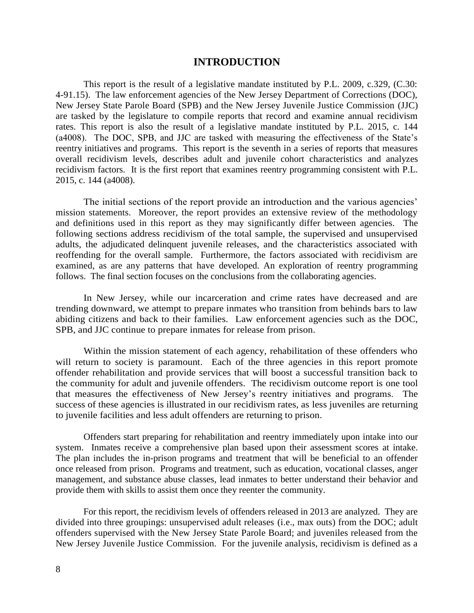#### **INTRODUCTION**

This report is the result of a legislative mandate instituted by P.L. 2009, c.329, (C.30: 4-91.15). The law enforcement agencies of the New Jersey Department of Corrections (DOC), New Jersey State Parole Board (SPB) and the New Jersey Juvenile Justice Commission (JJC) are tasked by the legislature to compile reports that record and examine annual recidivism rates. This report is also the result of a legislative mandate instituted by P.L. 2015, c. 144 (a4008). The DOC, SPB, and JJC are tasked with measuring the effectiveness of the State's reentry initiatives and programs. This report is the seventh in a series of reports that measures overall recidivism levels, describes adult and juvenile cohort characteristics and analyzes recidivism factors. It is the first report that examines reentry programming consistent with P.L. 2015, c. 144 (a4008).

The initial sections of the report provide an introduction and the various agencies' mission statements. Moreover, the report provides an extensive review of the methodology and definitions used in this report as they may significantly differ between agencies. The following sections address recidivism of the total sample, the supervised and unsupervised adults, the adjudicated delinquent juvenile releases, and the characteristics associated with reoffending for the overall sample. Furthermore, the factors associated with recidivism are examined, as are any patterns that have developed. An exploration of reentry programming follows. The final section focuses on the conclusions from the collaborating agencies.

In New Jersey, while our incarceration and crime rates have decreased and are trending downward, we attempt to prepare inmates who transition from behinds bars to law abiding citizens and back to their families. Law enforcement agencies such as the DOC, SPB, and JJC continue to prepare inmates for release from prison.

Within the mission statement of each agency, rehabilitation of these offenders who will return to society is paramount. Each of the three agencies in this report promote offender rehabilitation and provide services that will boost a successful transition back to the community for adult and juvenile offenders. The recidivism outcome report is one tool that measures the effectiveness of New Jersey's reentry initiatives and programs. The success of these agencies is illustrated in our recidivism rates, as less juveniles are returning to juvenile facilities and less adult offenders are returning to prison.

Offenders start preparing for rehabilitation and reentry immediately upon intake into our system. Inmates receive a comprehensive plan based upon their assessment scores at intake. The plan includes the in-prison programs and treatment that will be beneficial to an offender once released from prison. Programs and treatment, such as education, vocational classes, anger management, and substance abuse classes, lead inmates to better understand their behavior and provide them with skills to assist them once they reenter the community.

For this report, the recidivism levels of offenders released in 2013 are analyzed. They are divided into three groupings: unsupervised adult releases (i.e., max outs) from the DOC; adult offenders supervised with the New Jersey State Parole Board; and juveniles released from the New Jersey Juvenile Justice Commission. For the juvenile analysis, recidivism is defined as a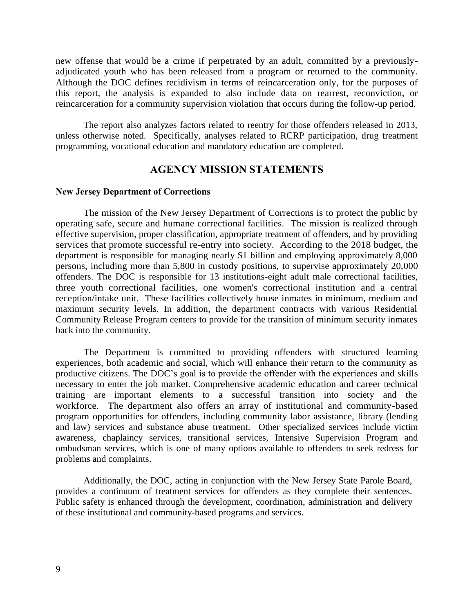new offense that would be a crime if perpetrated by an adult, committed by a previouslyadjudicated youth who has been released from a program or returned to the community. Although the DOC defines recidivism in terms of reincarceration only, for the purposes of this report, the analysis is expanded to also include data on rearrest, reconviction, or reincarceration for a community supervision violation that occurs during the follow-up period.

The report also analyzes factors related to reentry for those offenders released in 2013, unless otherwise noted. Specifically, analyses related to RCRP participation, drug treatment programming, vocational education and mandatory education are completed.

## **AGENCY MISSION STATEMENTS**

#### **New Jersey Department of Corrections**

The mission of the New Jersey Department of Corrections is to protect the public by operating safe, secure and humane correctional facilities. The mission is realized through effective supervision, proper classification, appropriate treatment of offenders, and by providing services that promote successful re-entry into society. According to the 2018 budget, the department is responsible for managing nearly \$1 billion and employing approximately 8,000 persons, including more than 5,800 in custody positions, to supervise approximately 20,000 offenders. The DOC is responsible for 13 institutions-eight adult male correctional facilities, three youth correctional facilities, one women's correctional institution and a central reception/intake unit. These facilities collectively house inmates in minimum, medium and maximum security levels. In addition, the department contracts with various Residential Community Release Program centers to provide for the transition of minimum security inmates back into the community.

The Department is committed to providing offenders with structured learning experiences, both academic and social, which will enhance their return to the community as productive citizens. The DOC's goal is to provide the offender with the experiences and skills necessary to enter the job market. Comprehensive academic education and career technical training are important elements to a successful transition into society and the workforce. The department also offers an array of institutional and community-based program opportunities for offenders, including community labor assistance, library (lending and law) services and substance abuse treatment. Other specialized services include victim awareness, chaplaincy services, transitional services, Intensive Supervision Program and ombudsman services, which is one of many options available to offenders to seek redress for problems and complaints.

Additionally, the DOC, acting in conjunction with the New Jersey State Parole Board, provides a continuum of treatment services for offenders as they complete their sentences. Public safety is enhanced through the development, coordination, administration and delivery of these institutional and community-based programs and services.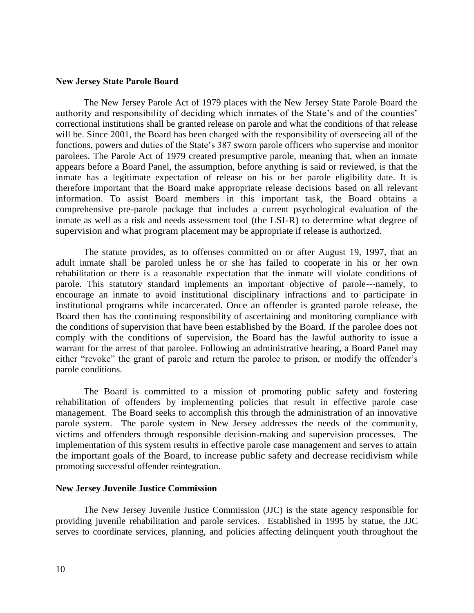#### **New Jersey State Parole Board**

The New Jersey Parole Act of 1979 places with the New Jersey State Parole Board the authority and responsibility of deciding which inmates of the State's and of the counties' correctional institutions shall be granted release on parole and what the conditions of that release will be. Since 2001, the Board has been charged with the responsibility of overseeing all of the functions, powers and duties of the State's 387 sworn parole officers who supervise and monitor parolees. The Parole Act of 1979 created presumptive parole, meaning that, when an inmate appears before a Board Panel, the assumption, before anything is said or reviewed, is that the inmate has a legitimate expectation of release on his or her parole eligibility date. It is therefore important that the Board make appropriate release decisions based on all relevant information. To assist Board members in this important task, the Board obtains a comprehensive pre-parole package that includes a current psychological evaluation of the inmate as well as a risk and needs assessment tool (the LSI-R) to determine what degree of supervision and what program placement may be appropriate if release is authorized.

The statute provides, as to offenses committed on or after August 19, 1997, that an adult inmate shall be paroled unless he or she has failed to cooperate in his or her own rehabilitation or there is a reasonable expectation that the inmate will violate conditions of parole. This statutory standard implements an important objective of parole---namely, to encourage an inmate to avoid institutional disciplinary infractions and to participate in institutional programs while incarcerated. Once an offender is granted parole release, the Board then has the continuing responsibility of ascertaining and monitoring compliance with the conditions of supervision that have been established by the Board. If the parolee does not comply with the conditions of supervision, the Board has the lawful authority to issue a warrant for the arrest of that parolee. Following an administrative hearing, a Board Panel may either "revoke" the grant of parole and return the parolee to prison, or modify the offender's parole conditions.

The Board is committed to a mission of promoting public safety and fostering rehabilitation of offenders by implementing policies that result in effective parole case management. The Board seeks to accomplish this through the administration of an innovative parole system. The parole system in New Jersey addresses the needs of the community, victims and offenders through responsible decision-making and supervision processes. The implementation of this system results in effective parole case management and serves to attain the important goals of the Board, to increase public safety and decrease recidivism while promoting successful offender reintegration.

#### **New Jersey Juvenile Justice Commission**

The New Jersey Juvenile Justice Commission (JJC) is the state agency responsible for providing juvenile rehabilitation and parole services. Established in 1995 by statue, the JJC serves to coordinate services, planning, and policies affecting delinquent youth throughout the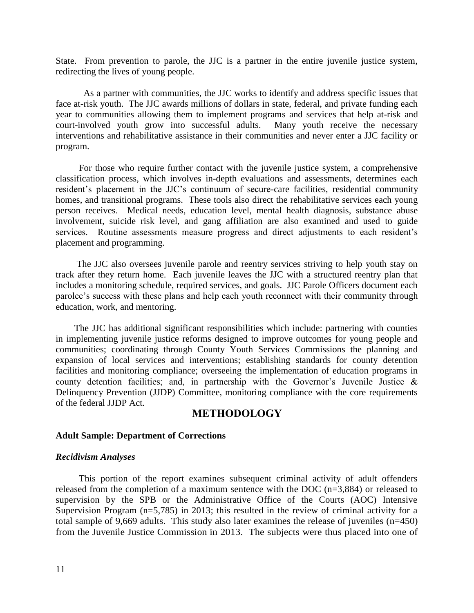State. From prevention to parole, the JJC is a partner in the entire juvenile justice system, redirecting the lives of young people.

 As a partner with communities, the JJC works to identify and address specific issues that face at-risk youth. The JJC awards millions of dollars in state, federal, and private funding each year to communities allowing them to implement programs and services that help at-risk and court-involved youth grow into successful adults. Many youth receive the necessary interventions and rehabilitative assistance in their communities and never enter a JJC facility or program.

 For those who require further contact with the juvenile justice system, a comprehensive classification process, which involves in-depth evaluations and assessments, determines each resident's placement in the JJC's continuum of secure-care facilities, residential community homes, and transitional programs. These tools also direct the rehabilitative services each young person receives. Medical needs, education level, mental health diagnosis, substance abuse involvement, suicide risk level, and gang affiliation are also examined and used to guide services. Routine assessments measure progress and direct adjustments to each resident's placement and programming.

 The JJC also oversees juvenile parole and reentry services striving to help youth stay on track after they return home. Each juvenile leaves the JJC with a structured reentry plan that includes a monitoring schedule, required services, and goals. JJC Parole Officers document each parolee's success with these plans and help each youth reconnect with their community through education, work, and mentoring.

 The JJC has additional significant responsibilities which include: partnering with counties in implementing juvenile justice reforms designed to improve outcomes for young people and communities; coordinating through County Youth Services Commissions the planning and expansion of local services and interventions; establishing standards for county detention facilities and monitoring compliance; overseeing the implementation of education programs in county detention facilities; and, in partnership with the Governor's Juvenile Justice & Delinquency Prevention (JJDP) Committee, monitoring compliance with the core requirements of the federal JJDP Act.

#### **METHODOLOGY**

#### **Adult Sample: Department of Corrections**

#### *Recidivism Analyses*

This portion of the report examines subsequent criminal activity of adult offenders released from the completion of a maximum sentence with the DOC (n=3,884) or released to supervision by the SPB or the Administrative Office of the Courts (AOC) Intensive Supervision Program (n=5,785) in 2013; this resulted in the review of criminal activity for a total sample of 9,669 adults. This study also later examines the release of juveniles (n=450) from the Juvenile Justice Commission in 2013. The subjects were thus placed into one of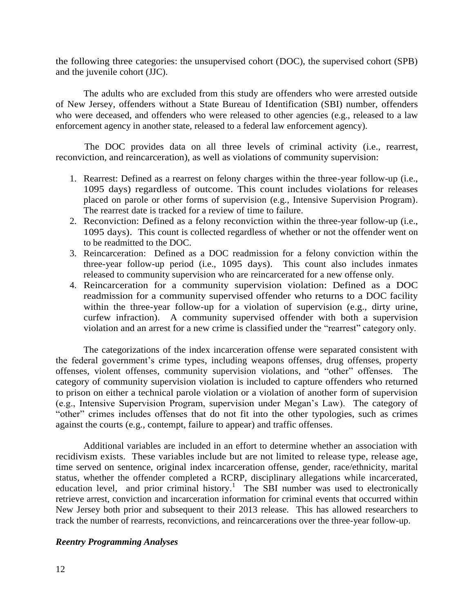the following three categories: the unsupervised cohort (DOC), the supervised cohort (SPB) and the juvenile cohort (JJC).

The adults who are excluded from this study are offenders who were arrested outside of New Jersey, offenders without a State Bureau of Identification (SBI) number, offenders who were deceased, and offenders who were released to other agencies (e.g., released to a law enforcement agency in another state, released to a federal law enforcement agency).

The DOC provides data on all three levels of criminal activity (i.e., rearrest, reconviction, and reincarceration), as well as violations of community supervision:

- 1. Rearrest: Defined as a rearrest on felony charges within the three-year follow-up (i.e., 1095 days) regardless of outcome. This count includes violations for releases placed on parole or other forms of supervision (e.g., Intensive Supervision Program). The rearrest date is tracked for a review of time to failure.
- 2. Reconviction: Defined as a felony reconviction within the three-year follow-up (i.e., 1095 days). This count is collected regardless of whether or not the offender went on to be readmitted to the DOC.
- 3. Reincarceration: Defined as a DOC readmission for a felony conviction within the three-year follow-up period (i.e., 1095 days). This count also includes inmates released to community supervision who are reincarcerated for a new offense only.
- 4. Reincarceration for a community supervision violation: Defined as a DOC readmission for a community supervised offender who returns to a DOC facility within the three-year follow-up for a violation of supervision (e.g., dirty urine, curfew infraction). A community supervised offender with both a supervision violation and an arrest for a new crime is classified under the "rearrest" category only.

The categorizations of the index incarceration offense were separated consistent with the federal government's crime types, including weapons offenses, drug offenses, property offenses, violent offenses, community supervision violations, and "other" offenses. The category of community supervision violation is included to capture offenders who returned to prison on either a technical parole violation or a violation of another form of supervision (e.g., Intensive Supervision Program, supervision under Megan's Law). The category of "other" crimes includes offenses that do not fit into the other typologies, such as crimes against the courts (e.g., contempt, failure to appear) and traffic offenses.

Additional variables are included in an effort to determine whether an association with recidivism exists. These variables include but are not limited to release type, release age, time served on sentence, original index incarceration offense, gender, race/ethnicity, marital status, whether the offender completed a RCRP, disciplinary allegations while incarcerated, education level, and prior criminal history.<sup>1</sup> The SBI number was used to electronically retrieve arrest, conviction and incarceration information for criminal events that occurred within New Jersey both prior and subsequent to their 2013 release. This has allowed researchers to track the number of rearrests, reconvictions, and reincarcerations over the three-year follow-up.

#### *Reentry Programming Analyses*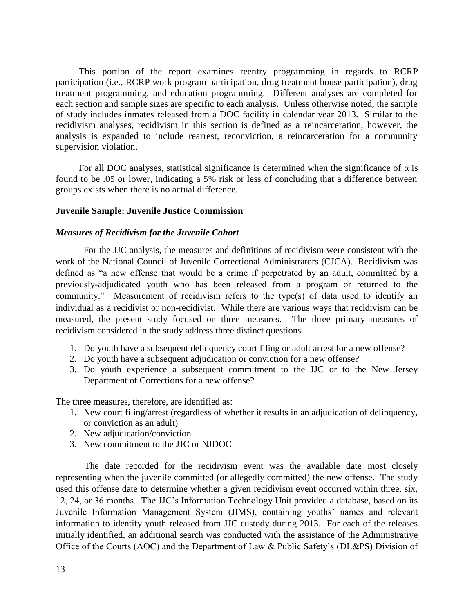This portion of the report examines reentry programming in regards to RCRP participation (i.e., RCRP work program participation, drug treatment house participation), drug treatment programming, and education programming. Different analyses are completed for each section and sample sizes are specific to each analysis. Unless otherwise noted, the sample of study includes inmates released from a DOC facility in calendar year 2013. Similar to the recidivism analyses, recidivism in this section is defined as a reincarceration, however, the analysis is expanded to include rearrest, reconviction, a reincarceration for a community supervision violation.

For all DOC analyses, statistical significance is determined when the significance of  $\alpha$  is found to be .05 or lower, indicating a 5% risk or less of concluding that a difference between groups exists when there is no actual difference.

#### **Juvenile Sample: Juvenile Justice Commission**

#### *Measures of Recidivism for the Juvenile Cohort*

For the JJC analysis, the measures and definitions of recidivism were consistent with the work of the National Council of Juvenile Correctional Administrators (CJCA). Recidivism was defined as "a new offense that would be a crime if perpetrated by an adult, committed by a previously-adjudicated youth who has been released from a program or returned to the community." Measurement of recidivism refers to the type(s) of data used to identify an individual as a recidivist or non-recidivist. While there are various ways that recidivism can be measured, the present study focused on three measures. The three primary measures of recidivism considered in the study address three distinct questions.

- 1. Do youth have a subsequent delinquency court filing or adult arrest for a new offense?
- 2. Do youth have a subsequent adjudication or conviction for a new offense?
- 3. Do youth experience a subsequent commitment to the JJC or to the New Jersey Department of Corrections for a new offense?

The three measures, therefore, are identified as:

- 1. New court filing/arrest (regardless of whether it results in an adjudication of delinquency, or conviction as an adult)
- 2. New adjudication/conviction
- 3. New commitment to the JJC or NJDOC

The date recorded for the recidivism event was the available date most closely representing when the juvenile committed (or allegedly committed) the new offense. The study used this offense date to determine whether a given recidivism event occurred within three, six, 12, 24, or 36 months. The JJC's Information Technology Unit provided a database, based on its Juvenile Information Management System (JIMS), containing youths' names and relevant information to identify youth released from JJC custody during 2013. For each of the releases initially identified, an additional search was conducted with the assistance of the Administrative Office of the Courts (AOC) and the Department of Law & Public Safety's (DL&PS) Division of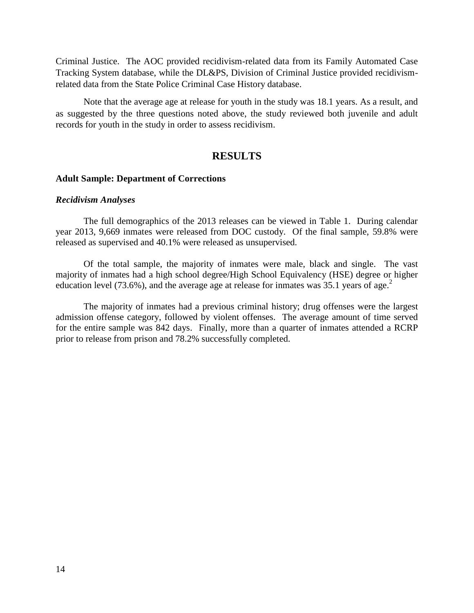Criminal Justice. The AOC provided recidivism-related data from its Family Automated Case Tracking System database, while the DL&PS, Division of Criminal Justice provided recidivismrelated data from the State Police Criminal Case History database.

Note that the average age at release for youth in the study was 18.1 years. As a result, and as suggested by the three questions noted above, the study reviewed both juvenile and adult records for youth in the study in order to assess recidivism.

#### **RESULTS**

#### **Adult Sample: Department of Corrections**

#### *Recidivism Analyses*

The full demographics of the 2013 releases can be viewed in Table 1. During calendar year 2013, 9,669 inmates were released from DOC custody. Of the final sample, 59.8% were released as supervised and 40.1% were released as unsupervised.

Of the total sample, the majority of inmates were male, black and single. The vast majority of inmates had a high school degree/High School Equivalency (HSE) degree or higher education level (73.6%), and the average age at release for inmates was 35.1 years of age.<sup>2</sup>

The majority of inmates had a previous criminal history; drug offenses were the largest admission offense category, followed by violent offenses. The average amount of time served for the entire sample was 842 days. Finally, more than a quarter of inmates attended a RCRP prior to release from prison and 78.2% successfully completed.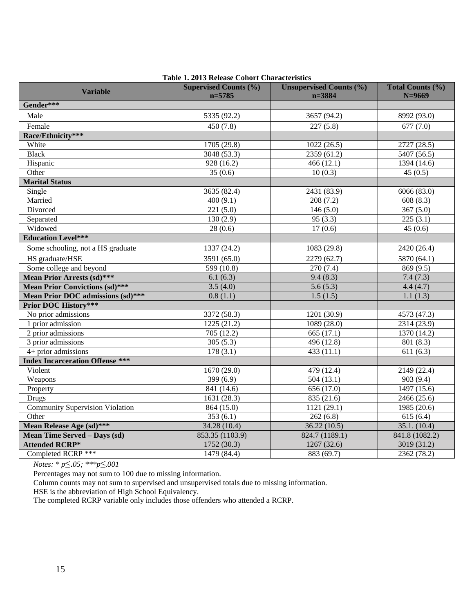|                                        | Table 1. 2013 Release Conort Characteristics |                                              |                              |
|----------------------------------------|----------------------------------------------|----------------------------------------------|------------------------------|
| <b>Variable</b>                        | <b>Supervised Counts (%)</b><br>$n = 5785$   | <b>Unsupervised Counts (%)</b><br>$n = 3884$ | Total Counts (%)<br>$N=9669$ |
| Gender***                              |                                              |                                              |                              |
| Male                                   | 5335 (92.2)                                  | 3657 (94.2)                                  | 8992 (93.0)                  |
| Female                                 | 450 (7.8)                                    | 227(5.8)                                     | 677(7.0)                     |
| Race/Ethnicity***                      |                                              |                                              |                              |
| White                                  | 1705 (29.8)                                  | 1022(26.5)                                   | 2727 (28.5)                  |
| <b>Black</b>                           | 3048 (53.3)                                  | 2359 (61.2)                                  | 5407(56.5)                   |
| Hispanic                               | 928 (16.2)                                   | 466(12.1)                                    | 1394 (14.6)                  |
| Other                                  | 35(0.6)                                      | 10(0.3)                                      | 45(0.5)                      |
| <b>Marital Status</b>                  |                                              |                                              |                              |
| Single                                 | 3635 (82.4)                                  | 2431 (83.9)                                  | 6066 (83.0)                  |
| Married                                | 400(9.1)                                     | 208(7.2)                                     | 608(8.3)                     |
| Divorced                               | 221(5.0)                                     | 146(5.0)                                     | 367(5.0)                     |
| Separated                              | 130(2.9)                                     | 95(3.3)                                      | 225(3.1)                     |
| Widowed                                | 28(0.6)                                      | 17(0.6)                                      | 45(0.6)                      |
| <b>Education Level***</b>              |                                              |                                              |                              |
| Some schooling, not a HS graduate      | 1337 (24.2)                                  | 1083 (29.8)                                  | 2420 (26.4)                  |
| HS graduate/HSE                        | 3591 (65.0)                                  | 2279 (62.7)                                  | 5870 (64.1)                  |
| Some college and beyond                | 599(10.8)                                    | 270(7.4)                                     | 869(9.5)                     |
| <b>Mean Prior Arrests (sd)***</b>      | 6.1(6.3)                                     | 9.4(8.3)                                     | 7.4(7.3)                     |
| <b>Mean Prior Convictions (sd)***</b>  | 3.5(4.0)                                     | 5.6(5.3)                                     | 4.4(4.7)                     |
| Mean Prior DOC admissions (sd)***      | 0.8(1.1)                                     | 1.5(1.5)                                     | 1.1(1.3)                     |
| <b>Prior DOC History***</b>            |                                              |                                              |                              |
| No prior admissions                    | 3372 (58.3)                                  | 1201 (30.9)                                  | 4573 (47.3)                  |
| 1 prior admission                      | 1225(21.2)                                   | 1089 (28.0)                                  | 2314 (23.9)                  |
| 2 prior admissions                     | 705(12.2)                                    | 665(17.1)                                    | 1370 (14.2)                  |
| 3 prior admissions                     | 305(5.3)                                     | 496(12.8)                                    | 801 (8.3)                    |
| $4+$ prior admissions                  | 178(3.1)                                     | 433(11.1)                                    | 611(6.3)                     |
| <b>Index Incarceration Offense ***</b> |                                              |                                              |                              |
| Violent                                | 1670(29.0)                                   | 479(12.4)                                    | 2149(22.4)                   |
| Weapons                                | 399(6.9)                                     | 504(13.1)                                    | 903(9.4)                     |
| Property                               | 841 (14.6)                                   | 656 (17.0)                                   | 1497 (15.6)                  |
| <b>Drugs</b>                           | 1631 (28.3)                                  | 835 (21.6)                                   | 2466 (25.6)                  |
| <b>Community Supervision Violation</b> | 864(15.0)                                    | 1121(29.1)                                   | 1985(20.6)                   |
| Other                                  | 353(6.1)                                     | 262(6.8)                                     | 615(6.4)                     |
| Mean Release Age (sd)***               | 34.28(10.4)                                  | 36.22(10.5)                                  | 35.1. (10.4)                 |
| Mean Time Served - Days (sd)           | 853.35 (1103.9)                              | 824.7 (1189.1)                               | 841.8 (1082.2)               |
| <b>Attended RCRP*</b>                  | 1752 (30.3)                                  | 1267(32.6)                                   | 3019 (31.2)                  |
| Completed RCRP ***                     | 1479(84.4)                                   | 883(69.7)                                    | 2362 (78.2)                  |

#### **Table 1. 2013 Release Cohort Characteristics**

*Notes: \* p*≤.*05; \*\*\*p*≤*.001*

Percentages may not sum to 100 due to missing information.

Column counts may not sum to supervised and unsupervised totals due to missing information.

HSE is the abbreviation of High School Equivalency.

The completed RCRP variable only includes those offenders who attended a RCRP.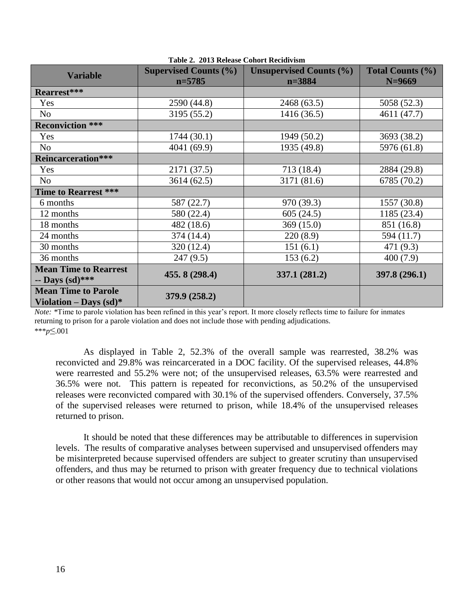| <b>Variable</b>                                                | <b>Supervised Counts (%)</b> | <b>Unsupervised Counts (%)</b> | <b>Total Counts (%)</b> |
|----------------------------------------------------------------|------------------------------|--------------------------------|-------------------------|
|                                                                | $n = 5785$                   | $n = 3884$                     | $N=9669$                |
| Rearrest***                                                    |                              |                                |                         |
| Yes                                                            | 2590 (44.8)                  | 2468 (63.5)                    | 5058 (52.3)             |
| No                                                             | 3195 (55.2)                  | 1416 (36.5)                    | 4611 (47.7)             |
| <b>Reconviction ***</b>                                        |                              |                                |                         |
| Yes                                                            | 1744(30.1)                   | 1949 (50.2)                    | 3693 (38.2)             |
| No                                                             | 4041 (69.9)                  | 1935 (49.8)                    | 5976 (61.8)             |
| <b>Reincarceration***</b>                                      |                              |                                |                         |
| Yes                                                            | 2171 (37.5)                  | 713 (18.4)                     | 2884 (29.8)             |
| No                                                             | 3614(62.5)                   | 3171 (81.6)                    | 6785 (70.2)             |
| Time to Rearrest ***                                           |                              |                                |                         |
| 6 months                                                       | 587 (22.7)                   | 970 (39.3)                     | 1557 (30.8)             |
| 12 months                                                      | 580 (22.4)                   | 605(24.5)                      | 1185 (23.4)             |
| 18 months                                                      | 482 (18.6)                   | 369 (15.0)                     | 851 (16.8)              |
| 24 months                                                      | 374 (14.4)                   | 220(8.9)                       | 594 (11.7)              |
| 30 months                                                      | 320 (12.4)                   | 151(6.1)                       | 471 (9.3)               |
| 36 months                                                      | 247(9.5)                     | 153(6.2)                       | 400(7.9)                |
| <b>Mean Time to Rearrest</b><br>-- Days $(sd)$ ***             | 455.8 (298.4)                | 337.1 (281.2)                  | 397.8 (296.1)           |
| <b>Mean Time to Parole</b><br>Violation – Days $(\text{sd})^*$ | 379.9 (258.2)                |                                |                         |

**Table 2. 2013 Release Cohort Recidivism**

*Note:* \*Time to parole violation has been refined in this year's report. It more closely reflects time to failure for inmates returning to prison for a parole violation and does not include those with pending adjudications. \*\*\**p*≤.001

As displayed in Table 2, 52.3% of the overall sample was rearrested, 38.2% was reconvicted and 29.8% was reincarcerated in a DOC facility. Of the supervised releases, 44.8% were rearrested and 55.2% were not; of the unsupervised releases, 63.5% were rearrested and 36.5% were not. This pattern is repeated for reconvictions, as 50.2% of the unsupervised releases were reconvicted compared with 30.1% of the supervised offenders. Conversely, 37.5% of the supervised releases were returned to prison, while 18.4% of the unsupervised releases returned to prison.

It should be noted that these differences may be attributable to differences in supervision levels. The results of comparative analyses between supervised and unsupervised offenders may be misinterpreted because supervised offenders are subject to greater scrutiny than unsupervised offenders, and thus may be returned to prison with greater frequency due to technical violations or other reasons that would not occur among an unsupervised population.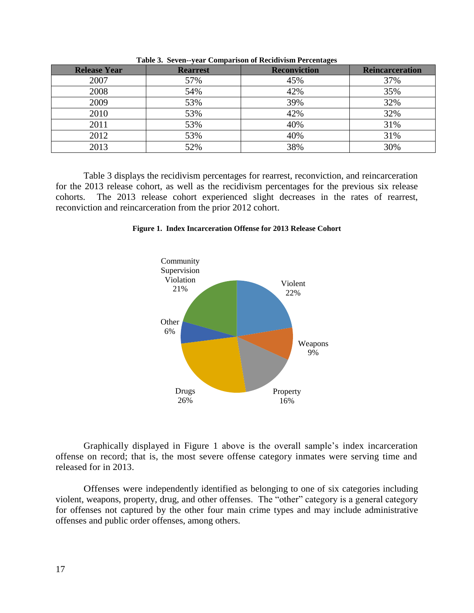| <b>Release Year</b> | <b>Rearrest</b> | <b>Reconviction</b> | <b>Reincarceration</b> |
|---------------------|-----------------|---------------------|------------------------|
| 2007                | 57%             | 45%                 | 37%                    |
| 2008                | 54%             | 42%                 | 35%                    |
| 2009                | 53%             | 39%                 | 32%                    |
| 2010                | 53%             | 42%                 | 32%                    |
| 2011                | 53%             | 40%                 | 31%                    |
| 2012                | 53%             | 40%                 | 31%                    |
| 2013                | 52%             | 38%                 | 30%                    |

**Table 3. Seven--year Comparison of Recidivism Percentages**

Table 3 displays the recidivism percentages for rearrest, reconviction, and reincarceration for the 2013 release cohort, as well as the recidivism percentages for the previous six release cohorts. The 2013 release cohort experienced slight decreases in the rates of rearrest, reconviction and reincarceration from the prior 2012 cohort.

#### **Figure 1. Index Incarceration Offense for 2013 Release Cohort**



Graphically displayed in Figure 1 above is the overall sample's index incarceration offense on record; that is, the most severe offense category inmates were serving time and released for in 2013.

Offenses were independently identified as belonging to one of six categories including violent, weapons, property, drug, and other offenses. The "other" category is a general category for offenses not captured by the other four main crime types and may include administrative offenses and public order offenses, among others.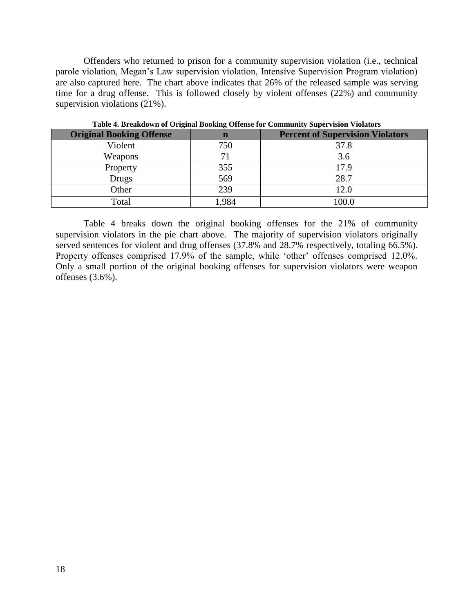Offenders who returned to prison for a community supervision violation (i.e., technical parole violation, Megan's Law supervision violation, Intensive Supervision Program violation) are also captured here. The chart above indicates that 26% of the released sample was serving time for a drug offense. This is followed closely by violent offenses (22%) and community supervision violations (21%).

| Table <del>4</del> . Di candown of Original Dooning Offense for Community Supervision violators |      |                                         |  |
|-------------------------------------------------------------------------------------------------|------|-----------------------------------------|--|
| <b>Original Booking Offense</b>                                                                 | n    | <b>Percent of Supervision Violators</b> |  |
| Violent                                                                                         | 750  | 37.8                                    |  |
| Weapons                                                                                         |      | 3.6                                     |  |
| Property                                                                                        | 355  | 17.9                                    |  |
| Drugs                                                                                           | 569  | 28.7                                    |  |
| Other                                                                                           | 239  | 12.0                                    |  |
| Total                                                                                           | .984 | 100.0                                   |  |

**Table 4. Breakdown of Original Booking Offense for Community Supervision Violators**

Table 4 breaks down the original booking offenses for the 21% of community supervision violators in the pie chart above. The majority of supervision violators originally served sentences for violent and drug offenses (37.8% and 28.7% respectively, totaling 66.5%). Property offenses comprised 17.9% of the sample, while 'other' offenses comprised 12.0%. Only a small portion of the original booking offenses for supervision violators were weapon offenses (3.6%).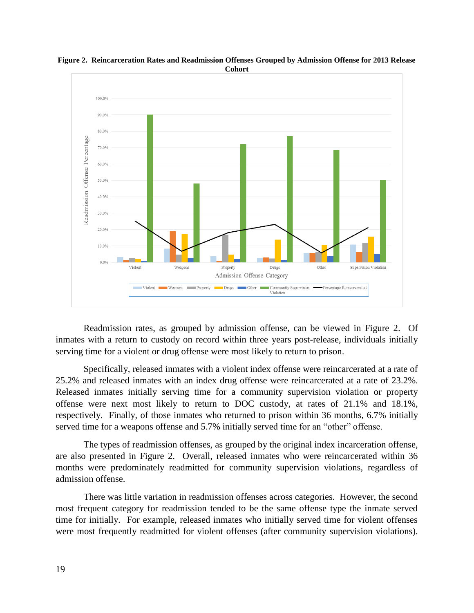

**Figure 2. Reincarceration Rates and Readmission Offenses Grouped by Admission Offense for 2013 Release Cohort**

Readmission rates, as grouped by admission offense, can be viewed in Figure 2. Of inmates with a return to custody on record within three years post-release, individuals initially serving time for a violent or drug offense were most likely to return to prison.

Specifically, released inmates with a violent index offense were reincarcerated at a rate of 25.2% and released inmates with an index drug offense were reincarcerated at a rate of 23.2%. Released inmates initially serving time for a community supervision violation or property offense were next most likely to return to DOC custody, at rates of 21.1% and 18.1%, respectively. Finally, of those inmates who returned to prison within 36 months, 6.7% initially served time for a weapons offense and 5.7% initially served time for an "other" offense.

The types of readmission offenses, as grouped by the original index incarceration offense, are also presented in Figure 2. Overall, released inmates who were reincarcerated within 36 months were predominately readmitted for community supervision violations, regardless of admission offense.

There was little variation in readmission offenses across categories. However, the second most frequent category for readmission tended to be the same offense type the inmate served time for initially. For example, released inmates who initially served time for violent offenses were most frequently readmitted for violent offenses (after community supervision violations).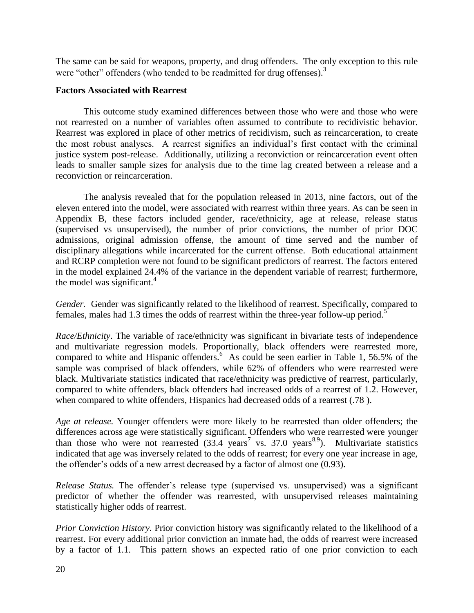The same can be said for weapons, property, and drug offenders. The only exception to this rule were "other" offenders (who tended to be readmitted for drug offenses).<sup>3</sup>

#### **Factors Associated with Rearrest**

This outcome study examined differences between those who were and those who were not rearrested on a number of variables often assumed to contribute to recidivistic behavior. Rearrest was explored in place of other metrics of recidivism, such as reincarceration, to create the most robust analyses. A rearrest signifies an individual's first contact with the criminal justice system post-release. Additionally, utilizing a reconviction or reincarceration event often leads to smaller sample sizes for analysis due to the time lag created between a release and a reconviction or reincarceration.

The analysis revealed that for the population released in 2013, nine factors, out of the eleven entered into the model, were associated with rearrest within three years. As can be seen in Appendix B, these factors included gender, race/ethnicity, age at release, release status (supervised vs unsupervised), the number of prior convictions, the number of prior DOC admissions, original admission offense, the amount of time served and the number of disciplinary allegations while incarcerated for the current offense. Both educational attainment and RCRP completion were not found to be significant predictors of rearrest. The factors entered in the model explained 24.4% of the variance in the dependent variable of rearrest; furthermore, the model was significant.<sup>4</sup>

*Gender.* Gender was significantly related to the likelihood of rearrest. Specifically, compared to females, males had 1.3 times the odds of rearrest within the three-year follow-up period.<sup>5</sup>

*Race/Ethnicity*. The variable of race/ethnicity was significant in bivariate tests of independence and multivariate regression models. Proportionally, black offenders were rearrested more, compared to white and Hispanic offenders.<sup>6</sup> As could be seen earlier in Table 1, 56.5% of the sample was comprised of black offenders, while 62% of offenders who were rearrested were black. Multivariate statistics indicated that race/ethnicity was predictive of rearrest, particularly, compared to white offenders, black offenders had increased odds of a rearrest of 1.2. However, when compared to white offenders, Hispanics had decreased odds of a rearrest (.78 ).

*Age at release.* Younger offenders were more likely to be rearrested than older offenders; the differences across age were statistically significant. Offenders who were rearrested were younger than those who were not rearrested  $(33.4 \text{ years}^7 \text{ vs. } 37.0 \text{ years}^{8.9})$ . Multivariate statistics indicated that age was inversely related to the odds of rearrest; for every one year increase in age, the offender's odds of a new arrest decreased by a factor of almost one (0.93).

*Release Status.* The offender's release type (supervised vs. unsupervised) was a significant predictor of whether the offender was rearrested, with unsupervised releases maintaining statistically higher odds of rearrest.

*Prior Conviction History.* Prior conviction history was significantly related to the likelihood of a rearrest. For every additional prior conviction an inmate had, the odds of rearrest were increased by a factor of 1.1. This pattern shows an expected ratio of one prior conviction to each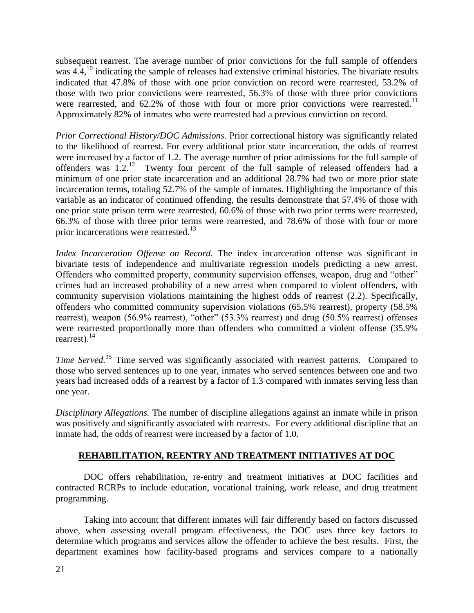subsequent rearrest. The average number of prior convictions for the full sample of offenders was  $4.4<sup>10</sup>$  indicating the sample of releases had extensive criminal histories. The bivariate results indicated that 47.8% of those with one prior conviction on record were rearrested, 53.2% of those with two prior convictions were rearrested, 56.3% of those with three prior convictions were rearrested, and  $62.2\%$  of those with four or more prior convictions were rearrested.<sup>11</sup> Approximately 82% of inmates who were rearrested had a previous conviction on record.

*Prior Correctional History/DOC Admissions.* Prior correctional history was significantly related to the likelihood of rearrest. For every additional prior state incarceration, the odds of rearrest were increased by a factor of 1.2. The average number of prior admissions for the full sample of offenders was  $1.2$ .<sup>12</sup> Twenty four percent of the full sample of released offenders had a minimum of one prior state incarceration and an additional 28.7% had two or more prior state incarceration terms, totaling 52.7% of the sample of inmates. Highlighting the importance of this variable as an indicator of continued offending, the results demonstrate that 57.4% of those with one prior state prison term were rearrested, 60.6% of those with two prior terms were rearrested, 66.3% of those with three prior terms were rearrested, and 78.6% of those with four or more prior incarcerations were rearrested.<sup>13</sup>

*Index Incarceration Offense on Record.* The index incarceration offense was significant in bivariate tests of independence and multivariate regression models predicting a new arrest. Offenders who committed property, community supervision offenses, weapon, drug and "other" crimes had an increased probability of a new arrest when compared to violent offenders, with community supervision violations maintaining the highest odds of rearrest (2.2). Specifically, offenders who committed community supervision violations (65.5% rearrest), property (58.5% rearrest), weapon (56.9% rearrest), "other" (53.3% rearrest) and drug (50.5% rearrest) offenses were rearrested proportionally more than offenders who committed a violent offense (35.9% rearrest). $^{14}$ 

*Time Served.<sup>15</sup>* Time served was significantly associated with rearrest patterns. Compared to those who served sentences up to one year, inmates who served sentences between one and two years had increased odds of a rearrest by a factor of 1.3 compared with inmates serving less than one year.

*Disciplinary Allegations.* The number of discipline allegations against an inmate while in prison was positively and significantly associated with rearrests. For every additional discipline that an inmate had, the odds of rearrest were increased by a factor of 1.0.

## **REHABILITATION, REENTRY AND TREATMENT INITIATIVES AT DOC**

DOC offers rehabilitation, re-entry and treatment initiatives at DOC facilities and contracted RCRPs to include education, vocational training, work release, and drug treatment programming.

Taking into account that different inmates will fair differently based on factors discussed above, when assessing overall program effectiveness, the DOC uses three key factors to determine which programs and services allow the offender to achieve the best results. First, the department examines how facility-based programs and services compare to a nationally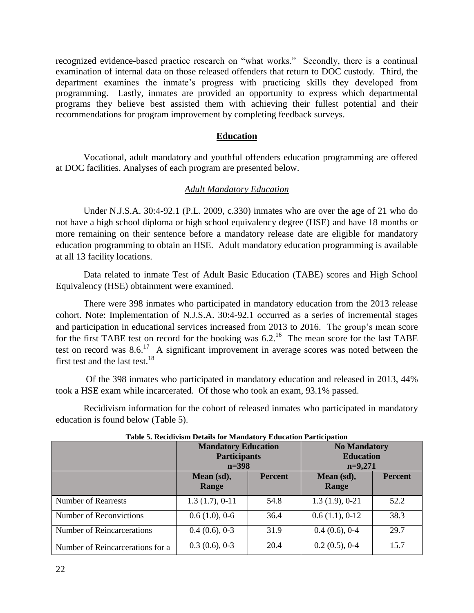recognized evidence-based practice research on "what works." Secondly, there is a continual examination of internal data on those released offenders that return to DOC custody. Third, the department examines the inmate's progress with practicing skills they developed from programming. Lastly, inmates are provided an opportunity to express which departmental programs they believe best assisted them with achieving their fullest potential and their recommendations for program improvement by completing feedback surveys.

#### **Education**

Vocational, adult mandatory and youthful offenders education programming are offered at DOC facilities. Analyses of each program are presented below.

#### *Adult Mandatory Education*

Under N.J.S.A. 30:4-92.1 (P.L. 2009, c.330) inmates who are over the age of 21 who do not have a high school diploma or high school equivalency degree (HSE) and have 18 months or more remaining on their sentence before a mandatory release date are eligible for mandatory education programming to obtain an HSE. Adult mandatory education programming is available at all 13 facility locations.

Data related to inmate Test of Adult Basic Education (TABE) scores and High School Equivalency (HSE) obtainment were examined.

There were 398 inmates who participated in mandatory education from the 2013 release cohort. Note: Implementation of N.J.S.A. 30:4-92.1 occurred as a series of incremental stages and participation in educational services increased from 2013 to 2016. The group's mean score for the first TABE test on record for the booking was  $6.2$ .<sup>16</sup> The mean score for the last TABE test on record was  $8.6$ .<sup>17</sup> A significant improvement in average scores was noted between the first test and the last test.<sup>18</sup>

Of the 398 inmates who participated in mandatory education and released in 2013, 44% took a HSE exam while incarcerated. Of those who took an exam, 93.1% passed.

Recidivism information for the cohort of released inmates who participated in mandatory education is found below (Table 5).

|                                  | <b>Mandatory Education</b><br><b>Participants</b><br>$n = 398$ |                | <b>No Mandatory</b><br><b>Education</b><br>$n=9,271$ |                |
|----------------------------------|----------------------------------------------------------------|----------------|------------------------------------------------------|----------------|
|                                  | Mean (sd),<br>Range                                            | <b>Percent</b> | Mean (sd),<br>Range                                  | <b>Percent</b> |
| <b>Number of Rearrests</b>       | $1.3(1.7), 0-11$                                               | 54.8           | $1.3(1.9), 0-21$                                     | 52.2           |
| Number of Reconvictions          | 0.6(1.0), 0.6                                                  | 36.4           | 0.6(1.1), 0.12                                       | 38.3           |
| Number of Reincarcerations       | 0.4(0.6), 0.3                                                  | 31.9           | 0.4(0.6), 0.4                                        | 29.7           |
| Number of Reincarcerations for a | 0.3(0.6), 0.3                                                  | 20.4           | $0.2(0.5)$ , 0-4                                     | 15.7           |

**Table 5. Recidivism Details for Mandatory Education Participation**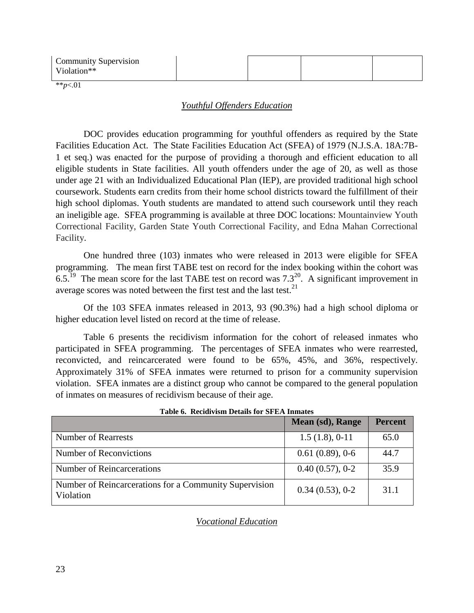| Community Supervision<br>$V$ iolation $**$ |  |  |
|--------------------------------------------|--|--|
|                                            |  |  |

\*\**p*<.01

### *Youthful Offenders Education*

DOC provides education programming for youthful offenders as required by the State Facilities Education Act. The State Facilities Education Act (SFEA) of 1979 (N.J.S.A. 18A:7B-1 et seq.) was enacted for the purpose of providing a thorough and efficient education to all eligible students in State facilities. All youth offenders under the age of 20, as well as those under age 21 with an Individualized Educational Plan (IEP), are provided traditional high school coursework. Students earn credits from their home school districts toward the fulfillment of their high school diplomas. Youth students are mandated to attend such coursework until they reach an ineligible age. SFEA programming is available at three DOC locations: Mountainview Youth Correctional Facility, Garden State Youth Correctional Facility, and Edna Mahan Correctional Facility.

One hundred three (103) inmates who were released in 2013 were eligible for SFEA programming. The mean first TABE test on record for the index booking within the cohort was 6.5.<sup>19</sup> The mean score for the last TABE test on record was  $7.3^{20}$ . A significant improvement in average scores was noted between the first test and the last test.  $21$ 

Of the 103 SFEA inmates released in 2013, 93 (90.3%) had a high school diploma or higher education level listed on record at the time of release.

Table 6 presents the recidivism information for the cohort of released inmates who participated in SFEA programming. The percentages of SFEA inmates who were rearrested, reconvicted, and reincarcerated were found to be 65%, 45%, and 36%, respectively. Approximately 31% of SFEA inmates were returned to prison for a community supervision violation. SFEA inmates are a distinct group who cannot be compared to the general population of inmates on measures of recidivism because of their age.

|                                                                     | Mean (sd), Range  | <b>Percent</b> |
|---------------------------------------------------------------------|-------------------|----------------|
| <b>Number of Rearrests</b>                                          | 1.5(1.8), 0.11    | 65.0           |
| Number of Reconvictions                                             | 0.61(0.89), 0.6   | 44.7           |
| Number of Reincarcerations                                          | $0.40(0.57), 0-2$ | 35.9           |
| Number of Reincarcerations for a Community Supervision<br>Violation | 0.34(0.53), 0.2   | 31.1           |

**Table 6. Recidivism Details for SFEA Inmates**

*Vocational Education*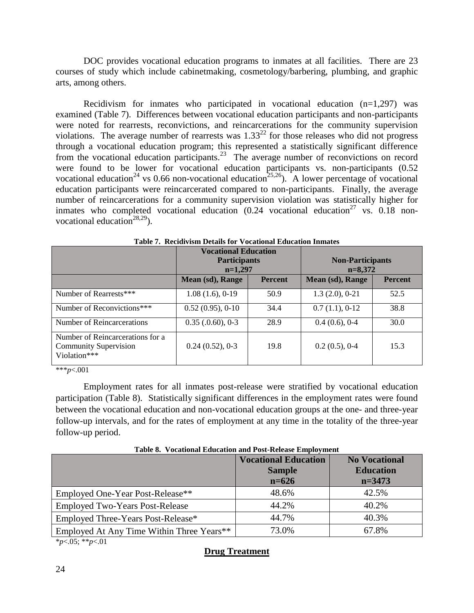DOC provides vocational education programs to inmates at all facilities. There are 23 courses of study which include cabinetmaking, cosmetology/barbering, plumbing, and graphic arts, among others.

Recidivism for inmates who participated in vocational education  $(n=1,297)$  was examined (Table 7). Differences between vocational education participants and non-participants were noted for rearrests, reconvictions, and reincarcerations for the community supervision violations. The average number of rearrests was  $1.33^{22}$  for those releases who did not progress through a vocational education program; this represented a statistically significant difference from the vocational education participants.<sup>23</sup> The average number of reconvictions on record were found to be lower for vocational education participants vs. non-participants (0.52 vocational education<sup>24</sup> vs 0.66 non-vocational education<sup>25,26</sup>). A lower percentage of vocational education participants were reincarcerated compared to non-participants. Finally, the average number of reincarcerations for a community supervision violation was statistically higher for inmates who completed vocational education  $(0.24 \text{i}$  vocational education<sup>27</sup> vs.  $0.18 \text{in}$ vocational education<sup>28,29</sup>).

|                                                                                  | <b>Vocational Education</b><br><b>Participants</b><br>$n=1,297$ |                | <b>Non-Participants</b><br>$n=8,372$ |                |
|----------------------------------------------------------------------------------|-----------------------------------------------------------------|----------------|--------------------------------------|----------------|
|                                                                                  | Mean (sd), Range                                                | <b>Percent</b> | Mean (sd), Range                     | <b>Percent</b> |
| Number of Rearrests***                                                           | 1.08(1.6), 0.19                                                 | 50.9           | $1.3(2.0), 0-21$                     | 52.5           |
| Number of Reconvictions***                                                       | 0.52(0.95), 0.10                                                | 34.4           | 0.7(1.1), 0.12                       | 38.8           |
| Number of Reincarcerations                                                       | $0.35$ $(.0.60)$ , $0-3$                                        | 28.9           | 0.4(0.6), 0.4                        | 30.0           |
| Number of Reincarcerations for a<br><b>Community Supervision</b><br>Violation*** | 0.24(0.52), 0.3                                                 | 19.8           | $0.2(0.5)$ , 0-4                     | 15.3           |

**Table 7. Recidivism Details for Vocational Education Inmates**

\*\*\**p*<.001

Employment rates for all inmates post-release were stratified by vocational education participation (Table 8). Statistically significant differences in the employment rates were found between the vocational education and non-vocational education groups at the one- and three-year follow-up intervals, and for the rates of employment at any time in the totality of the three-year follow-up period.

|                                           | <b>Vocational Education</b><br><b>Sample</b> | <b>No Vocational</b><br><b>Education</b> |
|-------------------------------------------|----------------------------------------------|------------------------------------------|
|                                           | $n = 626$                                    | $n=3473$                                 |
| Employed One-Year Post-Release**          | 48.6%                                        | 42.5%                                    |
| <b>Employed Two-Years Post-Release</b>    | 44.2%                                        | 40.2%                                    |
| Employed Three-Years Post-Release*        | 44.7%                                        | 40.3%                                    |
| Employed At Any Time Within Three Years** | 73.0%                                        | 67.8%                                    |

**Table 8. Vocational Education and Post-Release Employment**

\**p*<.05; \*\**p*<.01

## **Drug Treatment**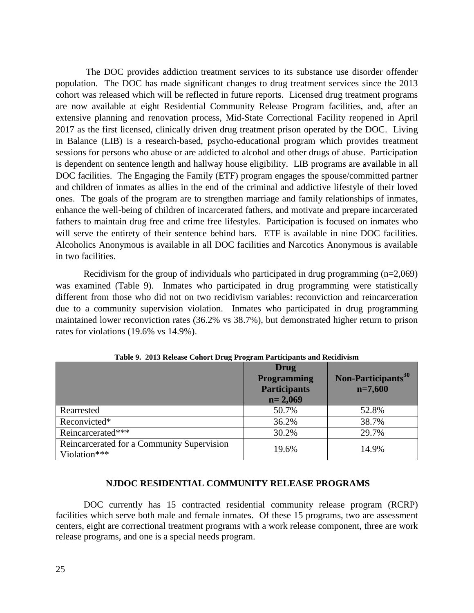The DOC provides addiction treatment services to its substance use disorder offender population. The DOC has made significant changes to drug treatment services since the 2013 cohort was released which will be reflected in future reports. Licensed drug treatment programs are now available at eight Residential Community Release Program facilities, and, after an extensive planning and renovation process, Mid-State Correctional Facility reopened in April 2017 as the first licensed, clinically driven drug treatment prison operated by the DOC. Living in Balance (LIB) is a research-based, psycho-educational program which provides treatment sessions for persons who abuse or are addicted to alcohol and other drugs of abuse. Participation is dependent on sentence length and hallway house eligibility. LIB programs are available in all DOC facilities. The Engaging the Family (ETF) program engages the spouse/committed partner and children of inmates as allies in the end of the criminal and addictive lifestyle of their loved ones. The goals of the program are to strengthen marriage and family relationships of inmates, enhance the well-being of children of incarcerated fathers, and motivate and prepare incarcerated fathers to maintain drug free and crime free lifestyles. Participation is focused on inmates who will serve the entirety of their sentence behind bars. ETF is available in nine DOC facilities. Alcoholics Anonymous is available in all DOC facilities and Narcotics Anonymous is available in two facilities.

Recidivism for the group of individuals who participated in drug programming  $(n=2,069)$ was examined (Table 9). Inmates who participated in drug programming were statistically different from those who did not on two recidivism variables: reconviction and reincarceration due to a community supervision violation. Inmates who participated in drug programming maintained lower reconviction rates (36.2% vs 38.7%), but demonstrated higher return to prison rates for violations (19.6% vs 14.9%).

|                                                            | <b>Drug</b><br><b>Programming</b><br><b>Participants</b><br>$n = 2,069$ | Non-Participants <sup>30</sup><br>$n=7,600$ |
|------------------------------------------------------------|-------------------------------------------------------------------------|---------------------------------------------|
| Rearrested                                                 | 50.7%                                                                   | 52.8%                                       |
| Reconvicted*                                               | 36.2%                                                                   | 38.7%                                       |
| Reincarcerated***                                          | 30.2%                                                                   | 29.7%                                       |
| Reincarcerated for a Community Supervision<br>Violation*** | 19.6%                                                                   | 14.9%                                       |

**Table 9. 2013 Release Cohort Drug Program Participants and Recidivism**

#### **NJDOC RESIDENTIAL COMMUNITY RELEASE PROGRAMS**

DOC currently has 15 contracted residential community release program (RCRP) facilities which serve both male and female inmates. Of these 15 programs, two are assessment centers, eight are correctional treatment programs with a work release component, three are work release programs, and one is a special needs program.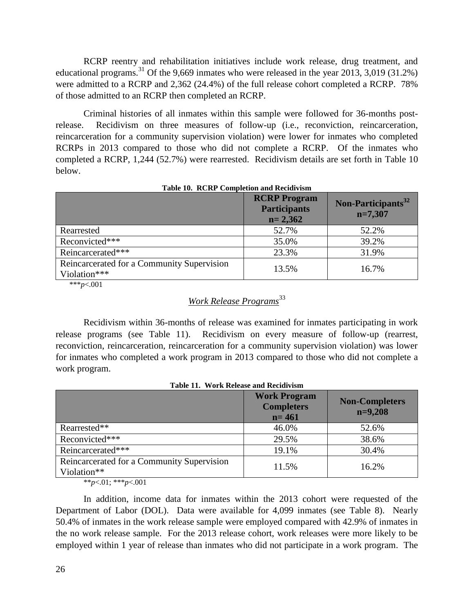RCRP reentry and rehabilitation initiatives include work release, drug treatment, and educational programs.<sup>31</sup> Of the 9,669 inmates who were released in the year 2013, 3,019 (31.2%) were admitted to a RCRP and 2,362 (24.4%) of the full release cohort completed a RCRP. 78% of those admitted to an RCRP then completed an RCRP.

Criminal histories of all inmates within this sample were followed for 36-months postrelease. Recidivism on three measures of follow-up (i.e., reconviction, reincarceration, reincarceration for a community supervision violation) were lower for inmates who completed RCRPs in 2013 compared to those who did not complete a RCRP. Of the inmates who completed a RCRP, 1,244 (52.7%) were rearrested. Recidivism details are set forth in Table 10 below.

|                                                            | <b>RCRP Program</b><br><b>Participants</b><br>$n = 2,362$ | Non-Participants <sup>32</sup><br>$n=7,307$ |
|------------------------------------------------------------|-----------------------------------------------------------|---------------------------------------------|
| Rearrested                                                 | 52.7%                                                     | 52.2%                                       |
| Reconvicted***                                             | 35.0%                                                     | 39.2%                                       |
| Reincarcerated***                                          | 23.3%                                                     | 31.9%                                       |
| Reincarcerated for a Community Supervision<br>Violation*** | 13.5%                                                     | 16.7%                                       |

**Table 10. RCRP Completion and Recidivism**

\*\*\**p*<.001

## *Work Release Programs*<sup>33</sup>

Recidivism within 36-months of release was examined for inmates participating in work release programs (see Table 11). Recidivism on every measure of follow-up (rearrest, reconviction, reincarceration, reincarceration for a community supervision violation) was lower for inmates who completed a work program in 2013 compared to those who did not complete a work program.

| Table II. WOLK Kerease and Keeldivishi                    |                                                       |                                    |  |
|-----------------------------------------------------------|-------------------------------------------------------|------------------------------------|--|
|                                                           | <b>Work Program</b><br><b>Completers</b><br>$n = 461$ | <b>Non-Completers</b><br>$n=9,208$ |  |
| Rearrested**                                              | 46.0%                                                 | 52.6%                              |  |
| Reconvicted***                                            | 29.5%                                                 | 38.6%                              |  |
| Reincarcerated***                                         | 19.1%                                                 | 30.4%                              |  |
| Reincarcerated for a Community Supervision<br>Violation** | 11.5%                                                 | 16.2%                              |  |

**Table 11. Work Release and Recidivism**

\*\**p*<.01; \*\*\**p*<.001

In addition, income data for inmates within the 2013 cohort were requested of the Department of Labor (DOL). Data were available for 4,099 inmates (see Table 8). Nearly 50.4% of inmates in the work release sample were employed compared with 42.9% of inmates in the no work release sample. For the 2013 release cohort, work releases were more likely to be employed within 1 year of release than inmates who did not participate in a work program. The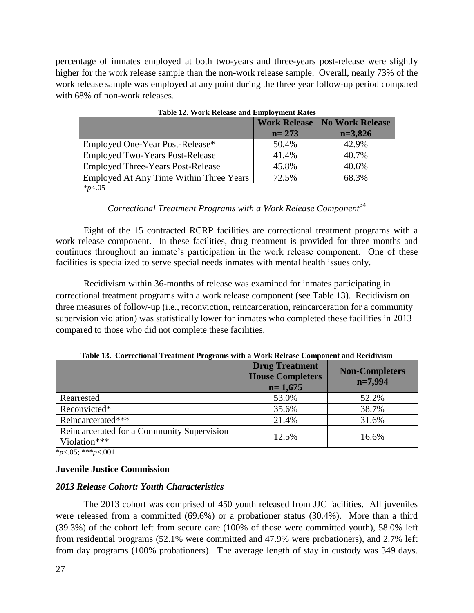percentage of inmates employed at both two-years and three-years post-release were slightly higher for the work release sample than the non-work release sample. Overall, nearly 73% of the work release sample was employed at any point during the three year follow-up period compared with 68% of non-work releases.

| $2.0028$ $2.001$ $(1.0241)$ $2.00000$ $0.0000$ $0.00000$ $0.00000$ |                     |                        |  |  |
|--------------------------------------------------------------------|---------------------|------------------------|--|--|
|                                                                    | <b>Work Release</b> | <b>No Work Release</b> |  |  |
|                                                                    | $n = 273$           | $n=3,826$              |  |  |
| Employed One-Year Post-Release*                                    | 50.4%               | 42.9%                  |  |  |
| <b>Employed Two-Years Post-Release</b>                             | 41.4%               | 40.7%                  |  |  |
| <b>Employed Three-Years Post-Release</b>                           | 45.8%               | 40.6%                  |  |  |
| Employed At Any Time Within Three Years                            | 72.5%               | 68.3%                  |  |  |
| $\star$ $\sim$ $\Lambda$ $\epsilon$                                |                     |                        |  |  |

| <b>Table 12. Work Release and Employment Rates</b> |  |  |  |
|----------------------------------------------------|--|--|--|

\**p*<.05

## *Correctional Treatment Programs with a Work Release Component*<sup>34</sup>

Eight of the 15 contracted RCRP facilities are correctional treatment programs with a work release component. In these facilities, drug treatment is provided for three months and continues throughout an inmate's participation in the work release component. One of these facilities is specialized to serve special needs inmates with mental health issues only.

Recidivism within 36-months of release was examined for inmates participating in correctional treatment programs with a work release component (see Table 13). Recidivism on three measures of follow-up (i.e., reconviction, reincarceration, reincarceration for a community supervision violation) was statistically lower for inmates who completed these facilities in 2013 compared to those who did not complete these facilities.

|                                                            | <b>Drug Treatment</b><br><b>House Completers</b><br>$n=1,675$ | <b>Non-Completers</b><br>$n=7,994$ |
|------------------------------------------------------------|---------------------------------------------------------------|------------------------------------|
| Rearrested                                                 | 53.0%                                                         | 52.2%                              |
| Reconvicted*                                               | 35.6%                                                         | 38.7%                              |
| Reincarcerated***                                          | 21.4%                                                         | 31.6%                              |
| Reincarcerated for a Community Supervision<br>Violation*** | 12.5%                                                         | 16.6%                              |

**Table 13. Correctional Treatment Programs with a Work Release Component and Recidivism**

\**p*<.05; \*\*\**p*<.001

## **Juvenile Justice Commission**

## *2013 Release Cohort: Youth Characteristics*

The 2013 cohort was comprised of 450 youth released from JJC facilities. All juveniles were released from a committed (69.6%) or a probationer status (30.4%). More than a third (39.3%) of the cohort left from secure care (100% of those were committed youth), 58.0% left from residential programs (52.1% were committed and 47.9% were probationers), and 2.7% left from day programs (100% probationers). The average length of stay in custody was 349 days.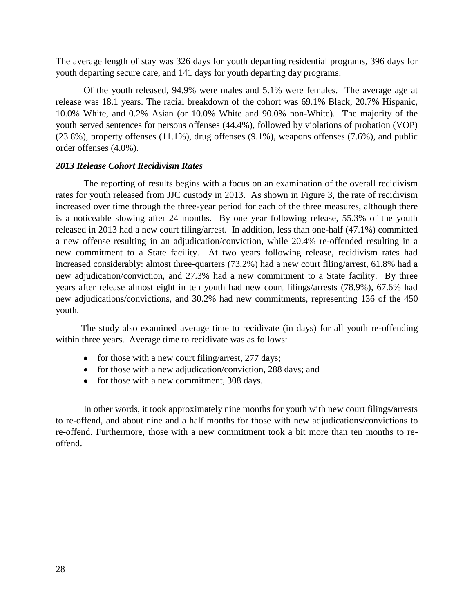The average length of stay was 326 days for youth departing residential programs, 396 days for youth departing secure care, and 141 days for youth departing day programs.

Of the youth released, 94.9% were males and 5.1% were females. The average age at release was 18.1 years. The racial breakdown of the cohort was 69.1% Black, 20.7% Hispanic, 10.0% White, and 0.2% Asian (or 10.0% White and 90.0% non-White). The majority of the youth served sentences for persons offenses (44.4%), followed by violations of probation (VOP)  $(23.8\%)$ , property offenses  $(11.1\%)$ , drug offenses  $(9.1\%)$ , weapons offenses  $(7.6\%)$ , and public order offenses (4.0%).

#### *2013 Release Cohort Recidivism Rates*

 The reporting of results begins with a focus on an examination of the overall recidivism rates for youth released from JJC custody in 2013. As shown in Figure 3, the rate of recidivism increased over time through the three-year period for each of the three measures, although there is a noticeable slowing after 24 months. By one year following release, 55.3% of the youth released in 2013 had a new court filing/arrest. In addition, less than one-half (47.1%) committed a new offense resulting in an adjudication/conviction, while 20.4% re-offended resulting in a new commitment to a State facility. At two years following release, recidivism rates had increased considerably: almost three-quarters (73.2%) had a new court filing/arrest, 61.8% had a new adjudication/conviction, and 27.3% had a new commitment to a State facility. By three years after release almost eight in ten youth had new court filings/arrests (78.9%), 67.6% had new adjudications/convictions, and 30.2% had new commitments, representing 136 of the 450 youth.

 The study also examined average time to recidivate (in days) for all youth re-offending within three years. Average time to recidivate was as follows:

- for those with a new court filing/arrest,  $277 \text{ days}$ ;
- for those with a new adjudication/conviction, 288 days; and
- for those with a new commitment, 308 days.

In other words, it took approximately nine months for youth with new court filings/arrests to re-offend, and about nine and a half months for those with new adjudications/convictions to re-offend. Furthermore, those with a new commitment took a bit more than ten months to reoffend.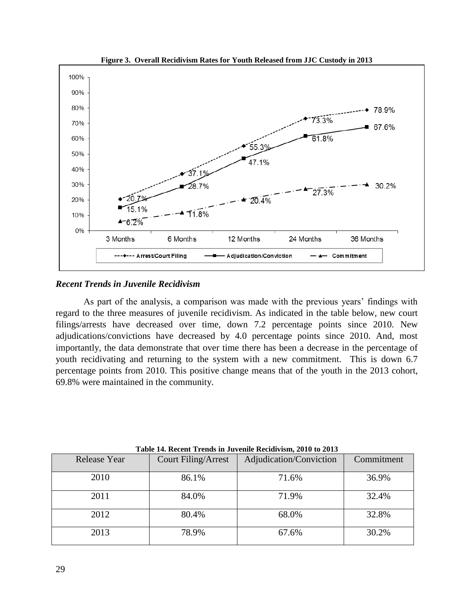

**Figure 3. Overall Recidivism Rates for Youth Released from JJC Custody in 2013**

#### *Recent Trends in Juvenile Recidivism*

As part of the analysis, a comparison was made with the previous years' findings with regard to the three measures of juvenile recidivism. As indicated in the table below, new court filings/arrests have decreased over time, down 7.2 percentage points since 2010. New adjudications/convictions have decreased by 4.0 percentage points since 2010. And, most importantly, the data demonstrate that over time there has been a decrease in the percentage of youth recidivating and returning to the system with a new commitment. This is down 6.7 percentage points from 2010. This positive change means that of the youth in the 2013 cohort, 69.8% were maintained in the community.

| Release Year | Court Filing/Arrest | Adjudication/Conviction | Commitment |  |
|--------------|---------------------|-------------------------|------------|--|
| 2010         | 86.1%               | 71.6%                   | 36.9%      |  |
| 2011         | 84.0%               | 71.9%                   | 32.4%      |  |
| 2012         | 80.4%               | 68.0%                   | 32.8%      |  |
| 2013         | 78.9%               | 67.6%                   | 30.2%      |  |

**Table 14. Recent Trends in Juvenile Recidivism, 2010 to 2013**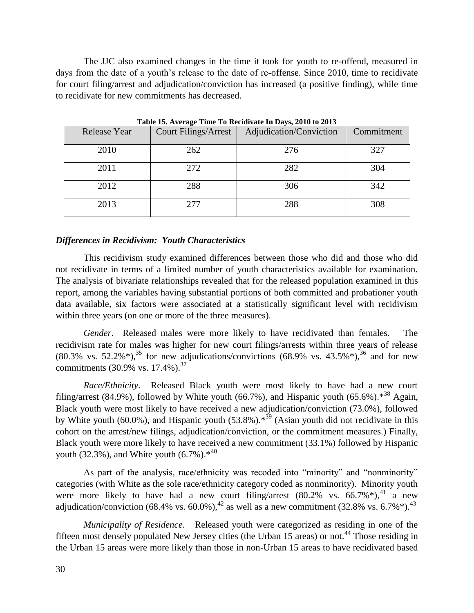The JJC also examined changes in the time it took for youth to re-offend, measured in days from the date of a youth's release to the date of re-offense. Since 2010, time to recidivate for court filing/arrest and adjudication/conviction has increased (a positive finding), while time to recidivate for new commitments has decreased.

| Release Year | <b>Court Filings/Arrest</b> | Adjudication/Conviction | Commitment |  |
|--------------|-----------------------------|-------------------------|------------|--|
| 2010         | 262                         | 276                     | 327        |  |
| 2011         | 272                         | 282                     | 304        |  |
| 2012         | 288                         | 306                     | 342        |  |
| 2013         | 277                         | 288                     | 308        |  |

**Table 15. Average Time To Recidivate In Days, 2010 to 2013**

#### *Differences in Recidivism: Youth Characteristics*

This recidivism study examined differences between those who did and those who did not recidivate in terms of a limited number of youth characteristics available for examination. The analysis of bivariate relationships revealed that for the released population examined in this report, among the variables having substantial portions of both committed and probationer youth data available, six factors were associated at a statistically significant level with recidivism within three years (on one or more of the three measures).

*Gender*. Released males were more likely to have recidivated than females. The recidivism rate for males was higher for new court filings/arrests within three years of release  $(80.3\% \text{ vs. } 52.2\%^*)$ ,<sup>35</sup> for new adjudications/convictions  $(68.9\% \text{ vs. } 43.5\%^*)$ ,<sup>36</sup> and for new commitments  $(30.9\% \text{ vs. } 17.4\%).^{37}$ 

*Race/Ethnicity*. Released Black youth were most likely to have had a new court filing/arrest (84.9%), followed by White youth (66.7%), and Hispanic youth (65.6%). $*^{38}$  Again, Black youth were most likely to have received a new adjudication/conviction (73.0%), followed by White youth (60.0%), and Hispanic youth (53.8%). $*^{39}$  (Asian youth did not recidivate in this cohort on the arrest/new filings, adjudication/conviction, or the commitment measures.) Finally, Black youth were more likely to have received a new commitment (33.1%) followed by Hispanic youth (32.3%), and White youth  $(6.7\%)$ .\*<sup>40</sup>

As part of the analysis, race/ethnicity was recoded into "minority" and "nonminority" categories (with White as the sole race/ethnicity category coded as nonminority). Minority youth were more likely to have had a new court filing/arrest  $(80.2\% \text{ vs. } 66.7\%^*)$ ,  $(4)$  a new adjudication/conviction (68.4% vs. 60.0%),<sup>42</sup> as well as a new commitment (32.8% vs. 6.7% $*$ ).<sup>43</sup>

*Municipality of Residence*. Released youth were categorized as residing in one of the fifteen most densely populated New Jersey cities (the Urban 15 areas) or not.<sup>44</sup> Those residing in the Urban 15 areas were more likely than those in non-Urban 15 areas to have recidivated based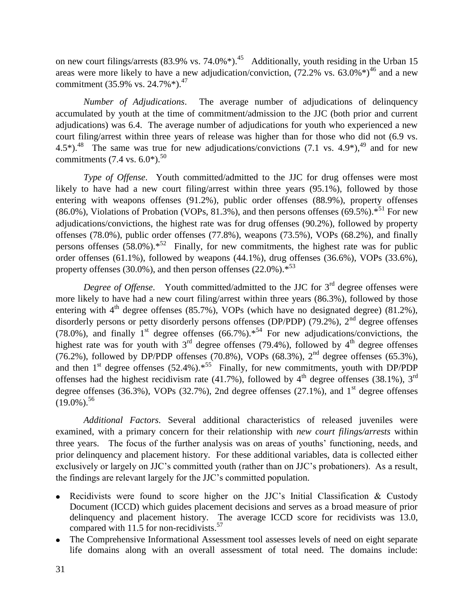on new court filings/arrests  $(83.9\% \text{ vs. } 74.0\%^*)$ .<sup>45</sup> Additionally, youth residing in the Urban 15 areas were more likely to have a new adjudication/conviction,  $(72.2\% \text{ vs. } 63.0\%^*)^{46}$  and a new commitment (35.9% vs. 24.7%\*).<sup>47</sup>

*Number of Adjudications*. The average number of adjudications of delinquency accumulated by youth at the time of commitment/admission to the JJC (both prior and current adjudications) was 6.4. The average number of adjudications for youth who experienced a new court filing/arrest within three years of release was higher than for those who did not (6.9 vs. 4.5\*).<sup>48</sup> The same was true for new adjudications/convictions (7.1 vs. 4.9\*),<sup>49</sup> and for new commitments  $(7.4 \text{ vs. } 6.0^*)$ .<sup>50</sup>

*Type of Offense*. Youth committed/admitted to the JJC for drug offenses were most likely to have had a new court filing/arrest within three years (95.1%), followed by those entering with weapons offenses (91.2%), public order offenses (88.9%), property offenses  $(86.0\%)$ , Violations of Probation (VOPs, 81.3%), and then persons offenses  $(69.5\%)$ .\*<sup>51</sup> For new adjudications/convictions, the highest rate was for drug offenses (90.2%), followed by property offenses (78.0%), public order offenses (77.8%), weapons (73.5%), VOPs (68.2%), and finally persons offenses (58.0%). $*^{52}$  Finally, for new commitments, the highest rate was for public order offenses (61.1%), followed by weapons (44.1%), drug offenses (36.6%), VOPs (33.6%), property offenses (30.0%), and then person offenses (22.0%). $*^{53}$ 

*Degree of Offense*. Youth committed/admitted to the JJC for 3<sup>rd</sup> degree offenses were more likely to have had a new court filing/arrest within three years (86.3%), followed by those entering with  $4<sup>th</sup>$  degree offenses (85.7%), VOPs (which have no designated degree) (81.2%), disorderly persons or petty disorderly persons offenses (DP/PDP) (79.2%),  $2<sup>nd</sup>$  degree offenses (78.0%), and finally 1<sup>st</sup> degree offenses (66.7%).<sup>\*54</sup> For new adjudications/convictions, the highest rate was for youth with  $3<sup>rd</sup>$  degree offenses (79.4%), followed by 4<sup>th</sup> degree offenses (76.2%), followed by DP/PDP offenses (70.8%), VOPs (68.3%),  $2<sup>nd</sup>$  degree offenses (65.3%), and then  $1<sup>st</sup>$  degree offenses (52.4%).<sup> $*^{55}$ </sup> Finally, for new commitments, youth with DP/PDP offenses had the highest recidivism rate (41.7%), followed by  $4<sup>th</sup>$  degree offenses (38.1%), 3<sup>rd</sup> degree offenses (36.3%), VOPs (32.7%), 2nd degree offenses (27.1%), and  $1<sup>st</sup>$  degree offenses  $(19.0\%)$ .<sup>56</sup>

*Additional Factors.* Several additional characteristics of released juveniles were examined, with a primary concern for their relationship with *new court filings/arrests* within three years. The focus of the further analysis was on areas of youths' functioning, needs, and prior delinquency and placement history. For these additional variables, data is collected either exclusively or largely on JJC's committed youth (rather than on JJC's probationers). As a result, the findings are relevant largely for the JJC's committed population.

- Recidivists were found to score higher on the JJC's Initial Classification & Custody Document (ICCD) which guides placement decisions and serves as a broad measure of prior delinquency and placement history. The average ICCD score for recidivists was 13.0, compared with 11.5 for non-recidivists. $57$
- The Comprehensive Informational Assessment tool assesses levels of need on eight separate life domains along with an overall assessment of total need. The domains include: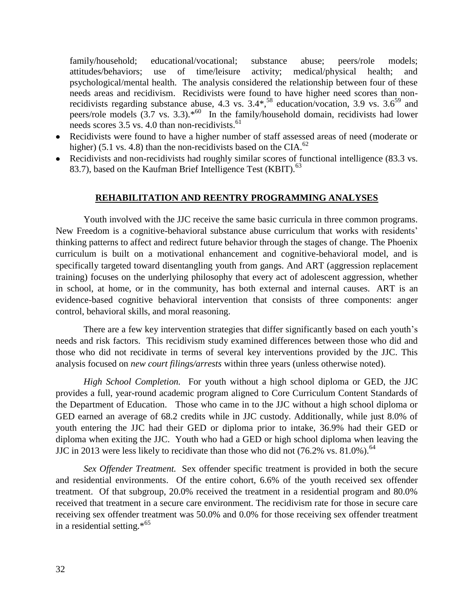family/household; educational/vocational; substance abuse; peers/role models; attitudes/behaviors; use of time/leisure activity; medical/physical health; and psychological/mental health. The analysis considered the relationship between four of these needs areas and recidivism. Recidivists were found to have higher need scores than nonrecidivists regarding substance abuse,  $4.3$  vs.  $3.4*$ ,  $58$  education/vocation,  $3.9$  vs.  $3.6<sup>59</sup>$  and peers/role models  $(3.7 \text{ vs. } 3.3)$ .\*<sup>60</sup> In the family/household domain, recidivists had lower needs scores  $3.5$  vs. 4.0 than non-recidivists.<sup>61</sup>

- Recidivists were found to have a higher number of staff assessed areas of need (moderate or higher) (5.1 vs. 4.8) than the non-recidivists based on the CIA. $^{62}$
- Recidivists and non-recidivists had roughly similar scores of functional intelligence (83.3 vs.) 83.7), based on the Kaufman Brief Intelligence Test (KBIT). $^{63}$

## **REHABILITATION AND REENTRY PROGRAMMING ANALYSES**

Youth involved with the JJC receive the same basic curricula in three common programs. New Freedom is a cognitive-behavioral substance abuse curriculum that works with residents' thinking patterns to affect and redirect future behavior through the stages of change. The Phoenix curriculum is built on a motivational enhancement and cognitive-behavioral model, and is specifically targeted toward disentangling youth from gangs. And ART (aggression replacement training) focuses on the underlying philosophy that every act of adolescent aggression, whether in school, at home, or in the community, has both external and internal causes. ART is an evidence-based cognitive behavioral intervention that consists of three components: anger control, behavioral skills, and moral reasoning.

There are a few key intervention strategies that differ significantly based on each youth's needs and risk factors. This recidivism study examined differences between those who did and those who did not recidivate in terms of several key interventions provided by the JJC. This analysis focused on *new court filings/arrests* within three years (unless otherwise noted).

*High School Completion.* For youth without a high school diploma or GED, the JJC provides a full, year-round academic program aligned to Core Curriculum Content Standards of the Department of Education. Those who came in to the JJC without a high school diploma or GED earned an average of 68.2 credits while in JJC custody. Additionally, while just 8.0% of youth entering the JJC had their GED or diploma prior to intake, 36.9% had their GED or diploma when exiting the JJC. Youth who had a GED or high school diploma when leaving the JJC in 2013 were less likely to recidivate than those who did not  $(76.2\% \text{ vs. } 81.0\%)$ .<sup>64</sup>

*Sex Offender Treatment.* Sex offender specific treatment is provided in both the secure and residential environments. Of the entire cohort, 6.6% of the youth received sex offender treatment. Of that subgroup, 20.0% received the treatment in a residential program and 80.0% received that treatment in a secure care environment. The recidivism rate for those in secure care receiving sex offender treatment was 50.0% and 0.0% for those receiving sex offender treatment in a residential setting.\*<sup>65</sup>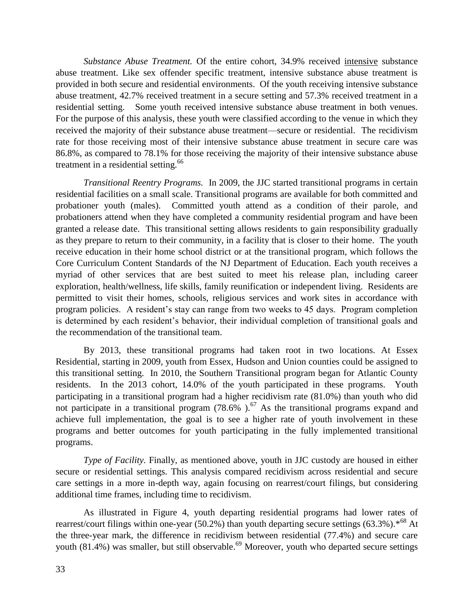*Substance Abuse Treatment.* Of the entire cohort, 34.9% received intensive substance abuse treatment. Like sex offender specific treatment, intensive substance abuse treatment is provided in both secure and residential environments. Of the youth receiving intensive substance abuse treatment, 42.7% received treatment in a secure setting and 57.3% received treatment in a residential setting. Some youth received intensive substance abuse treatment in both venues. For the purpose of this analysis, these youth were classified according to the venue in which they received the majority of their substance abuse treatment—secure or residential. The recidivism rate for those receiving most of their intensive substance abuse treatment in secure care was 86.8%, as compared to 78.1% for those receiving the majority of their intensive substance abuse treatment in a residential setting.<sup>66</sup>

*Transitional Reentry Programs.* In 2009, the JJC started transitional programs in certain residential facilities on a small scale. Transitional programs are available for both committed and probationer youth (males). Committed youth attend as a condition of their parole, and probationers attend when they have completed a community residential program and have been granted a release date. This transitional setting allows residents to gain responsibility gradually as they prepare to return to their community, in a facility that is closer to their home. The youth receive education in their home school district or at the transitional program, which follows the Core Curriculum Content Standards of the NJ Department of Education. Each youth receives a myriad of other services that are best suited to meet his release plan, including career exploration, health/wellness, life skills, family reunification or independent living. Residents are permitted to visit their homes, schools, religious services and work sites in accordance with program policies. A resident's stay can range from two weeks to 45 days. Program completion is determined by each resident's behavior, their individual completion of transitional goals and the recommendation of the transitional team.

By 2013, these transitional programs had taken root in two locations. At Essex Residential, starting in 2009, youth from Essex, Hudson and Union counties could be assigned to this transitional setting. In 2010, the Southern Transitional program began for Atlantic County residents. In the 2013 cohort, 14.0% of the youth participated in these programs. Youth participating in a transitional program had a higher recidivism rate (81.0%) than youth who did not participate in a transitional program  $(78.6\%)$ .<sup>67</sup> As the transitional programs expand and achieve full implementation, the goal is to see a higher rate of youth involvement in these programs and better outcomes for youth participating in the fully implemented transitional programs.

*Type of Facility.* Finally, as mentioned above, youth in JJC custody are housed in either secure or residential settings. This analysis compared recidivism across residential and secure care settings in a more in-depth way, again focusing on rearrest/court filings, but considering additional time frames, including time to recidivism.

As illustrated in Figure 4, youth departing residential programs had lower rates of rearrest/court filings within one-year (50.2%) than youth departing secure settings (63.3%). $*$ <sup>68</sup> At the three-year mark, the difference in recidivism between residential (77.4%) and secure care youth  $(81.4\%)$  was smaller, but still observable.<sup>69</sup> Moreover, youth who departed secure settings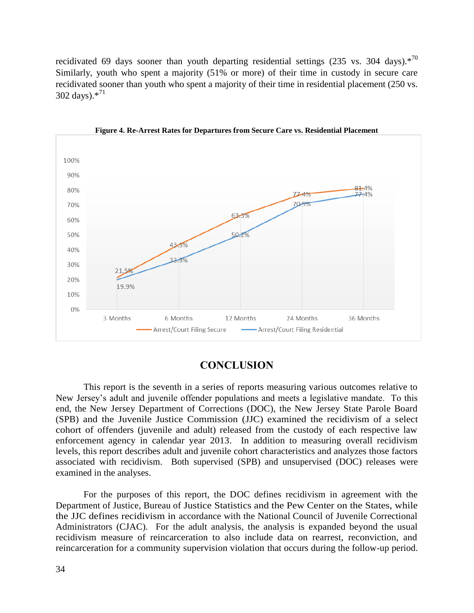recidivated 69 days sooner than youth departing residential settings (235 vs. 304 days). $*^{70}$ Similarly, youth who spent a majority (51% or more) of their time in custody in secure care recidivated sooner than youth who spent a majority of their time in residential placement (250 vs. 302 days). $*^{71}$ 



**Figure 4. Re-Arrest Rates for Departures from Secure Care vs. Residential Placement**

### **CONCLUSION**

This report is the seventh in a series of reports measuring various outcomes relative to New Jersey's adult and juvenile offender populations and meets a legislative mandate. To this end, the New Jersey Department of Corrections (DOC), the New Jersey State Parole Board (SPB) and the Juvenile Justice Commission (JJC) examined the recidivism of a select cohort of offenders (juvenile and adult) released from the custody of each respective law enforcement agency in calendar year 2013. In addition to measuring overall recidivism levels, this report describes adult and juvenile cohort characteristics and analyzes those factors associated with recidivism. Both supervised (SPB) and unsupervised (DOC) releases were examined in the analyses.

For the purposes of this report, the DOC defines recidivism in agreement with the Department of Justice, Bureau of Justice Statistics and the Pew Center on the States, while the JJC defines recidivism in accordance with the National Council of Juvenile Correctional Administrators (CJAC). For the adult analysis, the analysis is expanded beyond the usual recidivism measure of reincarceration to also include data on rearrest, reconviction, and reincarceration for a community supervision violation that occurs during the follow-up period.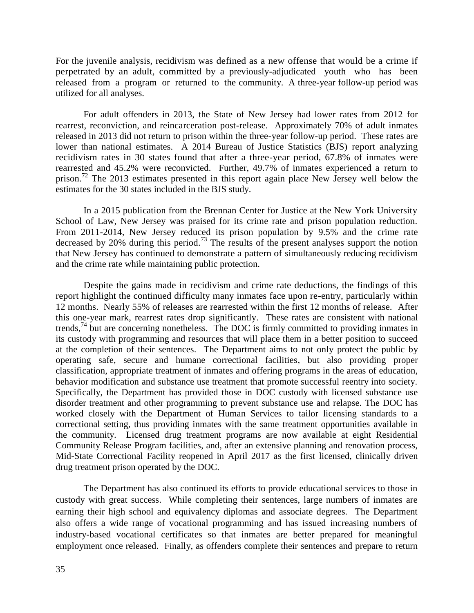For the juvenile analysis, recidivism was defined as a new offense that would be a crime if perpetrated by an adult, committed by a previously-adjudicated youth who has been released from a program or returned to the community. A three-year follow-up period was utilized for all analyses.

For adult offenders in 2013, the State of New Jersey had lower rates from 2012 for rearrest, reconviction, and reincarceration post-release. Approximately 70% of adult inmates released in 2013 did not return to prison within the three-year follow-up period. These rates are lower than national estimates. A 2014 Bureau of Justice Statistics (BJS) report analyzing recidivism rates in 30 states found that after a three-year period, 67.8% of inmates were rearrested and 45.2% were reconvicted. Further, 49.7% of inmates experienced a return to prison.<sup>72</sup> The 2013 estimates presented in this report again place New Jersey well below the estimates for the 30 states included in the BJS study.

In a 2015 publication from the Brennan Center for Justice at the New York University School of Law, New Jersey was praised for its crime rate and prison population reduction. From 2011-2014, New Jersey reduced its prison population by 9.5% and the crime rate decreased by 20% during this period.<sup>73</sup> The results of the present analyses support the notion that New Jersey has continued to demonstrate a pattern of simultaneously reducing recidivism and the crime rate while maintaining public protection.

Despite the gains made in recidivism and crime rate deductions, the findings of this report highlight the continued difficulty many inmates face upon re-entry, particularly within 12 months. Nearly 55% of releases are rearrested within the first 12 months of release. After this one-year mark, rearrest rates drop significantly. These rates are consistent with national trends,  $^{74}$  but are concerning nonetheless. The DOC is firmly committed to providing inmates in its custody with programming and resources that will place them in a better position to succeed at the completion of their sentences. The Department aims to not only protect the public by operating safe, secure and humane correctional facilities, but also providing proper classification, appropriate treatment of inmates and offering programs in the areas of education, behavior modification and substance use treatment that promote successful reentry into society. Specifically, the Department has provided those in DOC custody with licensed substance use disorder treatment and other programming to prevent substance use and relapse. The DOC has worked closely with the Department of Human Services to tailor licensing standards to a correctional setting, thus providing inmates with the same treatment opportunities available in the community. Licensed drug treatment programs are now available at eight Residential Community Release Program facilities, and, after an extensive planning and renovation process, Mid-State Correctional Facility reopened in April 2017 as the first licensed, clinically driven drug treatment prison operated by the DOC.

The Department has also continued its efforts to provide educational services to those in custody with great success. While completing their sentences, large numbers of inmates are earning their high school and equivalency diplomas and associate degrees. The Department also offers a wide range of vocational programming and has issued increasing numbers of industry-based vocational certificates so that inmates are better prepared for meaningful employment once released. Finally, as offenders complete their sentences and prepare to return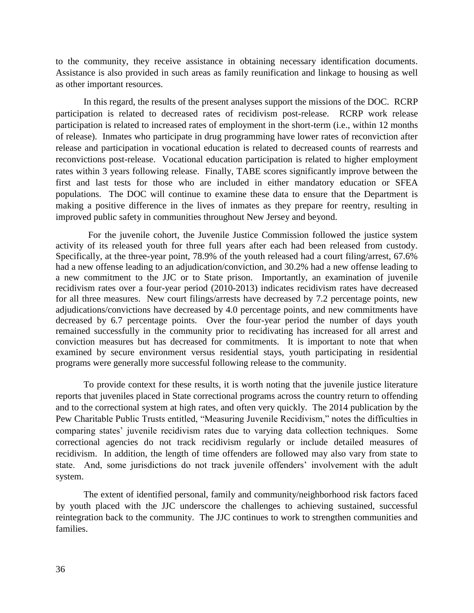to the community, they receive assistance in obtaining necessary identification documents. Assistance is also provided in such areas as family reunification and linkage to housing as well as other important resources.

In this regard, the results of the present analyses support the missions of the DOC. RCRP participation is related to decreased rates of recidivism post-release. RCRP work release participation is related to increased rates of employment in the short-term (i.e., within 12 months of release). Inmates who participate in drug programming have lower rates of reconviction after release and participation in vocational education is related to decreased counts of rearrests and reconvictions post-release. Vocational education participation is related to higher employment rates within 3 years following release. Finally, TABE scores significantly improve between the first and last tests for those who are included in either mandatory education or SFEA populations. The DOC will continue to examine these data to ensure that the Department is making a positive difference in the lives of inmates as they prepare for reentry, resulting in improved public safety in communities throughout New Jersey and beyond.

 For the juvenile cohort, the Juvenile Justice Commission followed the justice system activity of its released youth for three full years after each had been released from custody. Specifically, at the three-year point, 78.9% of the youth released had a court filing/arrest, 67.6% had a new offense leading to an adjudication/conviction, and 30.2% had a new offense leading to a new commitment to the JJC or to State prison. Importantly, an examination of juvenile recidivism rates over a four-year period (2010-2013) indicates recidivism rates have decreased for all three measures. New court filings/arrests have decreased by 7.2 percentage points, new adjudications/convictions have decreased by 4.0 percentage points, and new commitments have decreased by 6.7 percentage points. Over the four-year period the number of days youth remained successfully in the community prior to recidivating has increased for all arrest and conviction measures but has decreased for commitments. It is important to note that when examined by secure environment versus residential stays, youth participating in residential programs were generally more successful following release to the community.

To provide context for these results, it is worth noting that the juvenile justice literature reports that juveniles placed in State correctional programs across the country return to offending and to the correctional system at high rates, and often very quickly. The 2014 publication by the Pew Charitable Public Trusts entitled, "Measuring Juvenile Recidivism," notes the difficulties in comparing states' juvenile recidivism rates due to varying data collection techniques. Some correctional agencies do not track recidivism regularly or include detailed measures of recidivism. In addition, the length of time offenders are followed may also vary from state to state. And, some jurisdictions do not track juvenile offenders' involvement with the adult system.

The extent of identified personal, family and community/neighborhood risk factors faced by youth placed with the JJC underscore the challenges to achieving sustained, successful reintegration back to the community. The JJC continues to work to strengthen communities and families.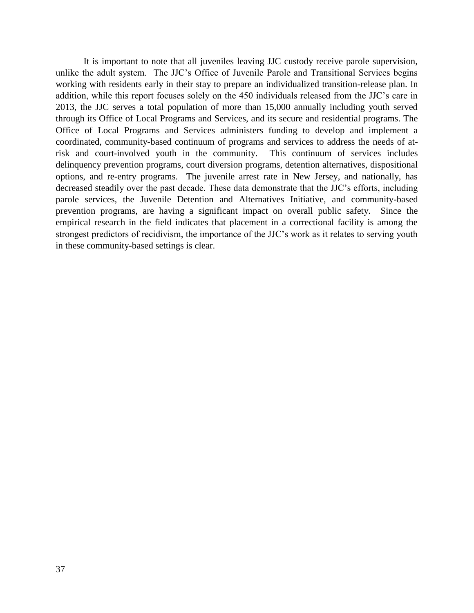It is important to note that all juveniles leaving JJC custody receive parole supervision, unlike the adult system. The JJC's Office of Juvenile Parole and Transitional Services begins working with residents early in their stay to prepare an individualized transition-release plan. In addition, while this report focuses solely on the 450 individuals released from the JJC's care in 2013, the JJC serves a total population of more than 15,000 annually including youth served through its Office of Local Programs and Services, and its secure and residential programs. The Office of Local Programs and Services administers funding to develop and implement a coordinated, community-based continuum of programs and services to address the needs of atrisk and court-involved youth in the community. This continuum of services includes delinquency prevention programs, court diversion programs, detention alternatives, dispositional options, and re-entry programs. The juvenile arrest rate in New Jersey, and nationally, has decreased steadily over the past decade. These data demonstrate that the JJC's efforts, including parole services, the Juvenile Detention and Alternatives Initiative, and community-based prevention programs, are having a significant impact on overall public safety. Since the empirical research in the field indicates that placement in a correctional facility is among the strongest predictors of recidivism, the importance of the JJC's work as it relates to serving youth in these community-based settings is clear.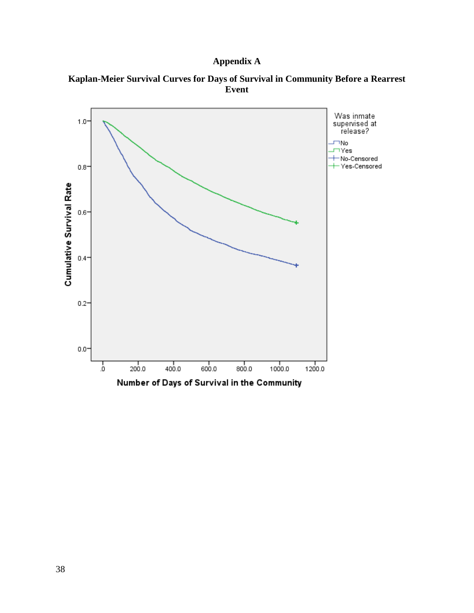## **Appendix A**



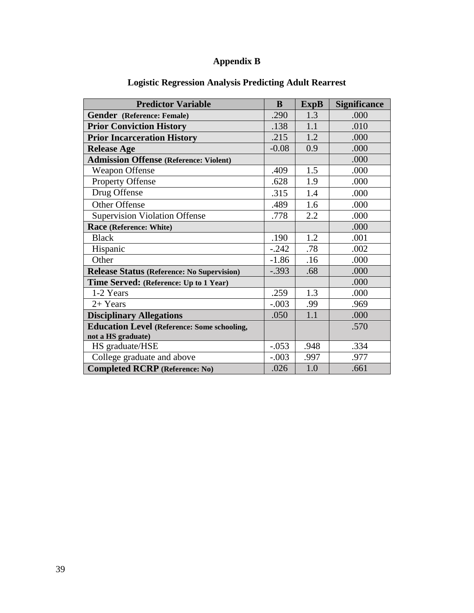## **Appendix B**

| <b>Predictor Variable</b>                          | B       | <b>ExpB</b> | <b>Significance</b> |
|----------------------------------------------------|---------|-------------|---------------------|
| Gender (Reference: Female)                         | .290    | 1.3         | .000                |
| <b>Prior Conviction History</b>                    | .138    | 1.1         | .010                |
| <b>Prior Incarceration History</b>                 | .215    | 1.2         | .000                |
| <b>Release Age</b>                                 | $-0.08$ | 0.9         | .000                |
| <b>Admission Offense (Reference: Violent)</b>      |         |             | .000                |
| <b>Weapon Offense</b>                              | .409    | 1.5         | .000                |
| <b>Property Offense</b>                            | .628    | 1.9         | .000                |
| Drug Offense                                       | .315    | 1.4         | .000                |
| Other Offense                                      | .489    | 1.6         | .000                |
| Supervision Violation Offense                      | .778    | 2.2         | .000                |
| Race (Reference: White)                            |         |             | .000                |
| <b>Black</b>                                       | .190    | 1.2         | .001                |
| Hispanic                                           | $-.242$ | .78         | .002                |
| Other                                              | $-1.86$ | .16         | .000                |
| <b>Release Status (Reference: No Supervision)</b>  | $-.393$ | .68         | .000                |
| Time Served: (Reference: Up to 1 Year)             |         |             | .000                |
| 1-2 Years                                          | .259    | 1.3         | .000                |
| $2+$ Years                                         | $-.003$ | .99         | .969                |
| <b>Disciplinary Allegations</b>                    | .050    | 1.1         | .000                |
| <b>Education Level (Reference: Some schooling,</b> |         |             | .570                |
| not a HS graduate)                                 |         |             |                     |
| HS graduate/HSE                                    | $-.053$ | .948        | .334                |
| College graduate and above                         | $-.003$ | .997        | .977                |
| <b>Completed RCRP</b> (Reference: No)              | .026    | 1.0         | .661                |

## **Logistic Regression Analysis Predicting Adult Rearrest**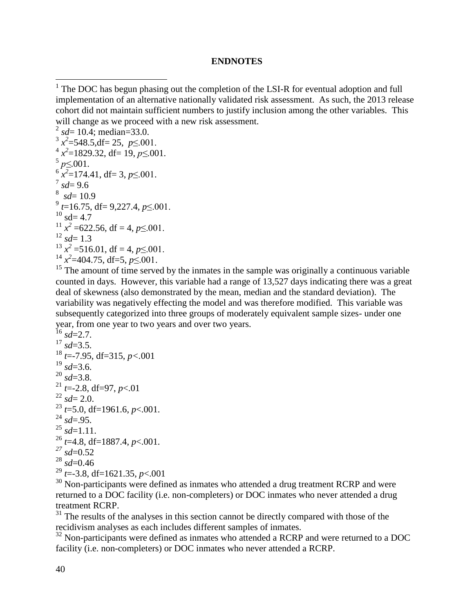#### **ENDNOTES**

```
^{2} sd= 10.4; median=33.0.
x^3 x^2=548.5,df= 25, p \leq.001.
x^4 x^2=1829.32, df= 19, p \leq.001.
<sup>5</sup> p≤.001.<br>
<sup>6</sup> x<sup>2</sup>=174.41, df= 3, p≤.001.
\int_{0}^{7} sd= 9.6
s sd= 10.9
^{9} t=16.75, df= 9,227.4, p\leq.001.
10 sd= 4.7
<sup>11</sup> x^2 =622.56, df = 4, p \le 0.001.
^{12} sd= 1.3
x^2 = 516.01, df = 4, p \le 0.001.
x^2=404.75, df=5, p \le 0.001.
```
<sup>15</sup> The amount of time served by the inmates in the sample was originally a continuous variable counted in days. However, this variable had a range of 13,527 days indicating there was a great deal of skewness (also demonstrated by the mean, median and the standard deviation). The variability was negatively effecting the model and was therefore modified. This variable was subsequently categorized into three groups of moderately equivalent sample sizes- under one year, from one year to two years and over two years.

 $^{16}$  *sd*=2.7.  $^{17}$   $sd=3.5$ .  $18 \text{ }\mu$  =-7.95, df=315, *p* <.001  $^{19}$  *sd*=3.6.  $^{20}$   $sd=3.8$ .  $^{21}$  *t*=-2.8, df=97, *p*<.01  $^{22}$  *sd*= 2.0.  $^{23}$   $^{12.9}$ ; df=1961.6, *p*<.001.  $^{24}$  *sd*=.95.  $^{25}$   $sd=1.11$ .  $^{26}$  *t*=4.8, df=1887.4, *p*<.001. *<sup>27</sup> sd*=0.52  $28 \text{ }\frac{1}{sd} = 0.46$ <sup>29</sup> *t*=-3.8, df=1621.35, *p*<.001

<sup>30</sup> Non-participants were defined as inmates who attended a drug treatment RCRP and were returned to a DOC facility (i.e. non-completers) or DOC inmates who never attended a drug treatment RCRP.

 $31$  The results of the analyses in this section cannot be directly compared with those of the recidivism analyses as each includes different samples of inmates.

<sup>32</sup> Non-participants were defined as inmates who attended a RCRP and were returned to a DOC facility (i.e. non-completers) or DOC inmates who never attended a RCRP.

<sup>&</sup>lt;sup>1</sup> The DOC has begun phasing out the completion of the LSI-R for eventual adoption and full implementation of an alternative nationally validated risk assessment. As such, the 2013 release cohort did not maintain sufficient numbers to justify inclusion among the other variables. This will change as we proceed with a new risk assessment.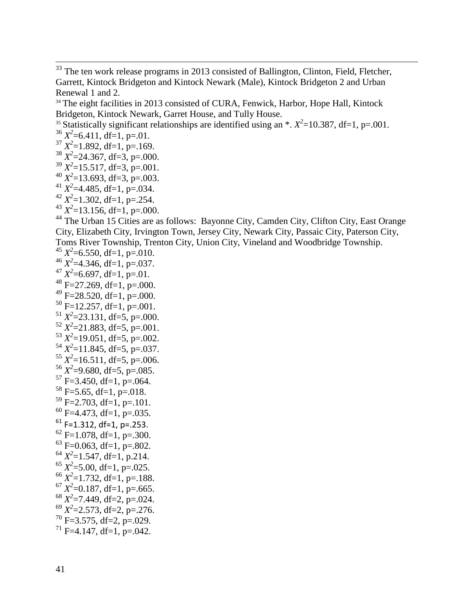<sup>34</sup> The eight facilities in 2013 consisted of CURA, Fenwick, Harbor, Hope Hall, Kintock Bridgeton, Kintock Newark, Garret House, and Tully House.

<sup>35</sup> Statistically significant relationships are identified using an  $\cdot$ .  $X^2$ =10.387, df=1, p=.001.

 $x^2$ =6.411, df=1, p=.01.

 $\overline{\phantom{a}}$ 

 $x^3$   $X^2$ =1.892, df=1, p=.169.

 $3^8$   $X^2$  = 24.367, df = 3, p = 000.  $x^3$ <sup>39</sup>  $X^2$ =15.517, df=3, p=.001.

 $x^2$ =13.693, df=3, p=.003.

 $x^2$  = 4.485, df = 1, p = 0.034.

 $42 X^2 = 1.302$ , df=1, p=.254.

 $x^2$  = 13.156, df = 1, p = 000.

44 The Urban 15 Cities are as follows: Bayonne City, Camden City, Clifton City, East Orange City, Elizabeth City, Irvington Town, Jersey City, Newark City, Passaic City, Paterson City, Toms River Township, Trenton City, Union City, Vineland and Woodbridge Township.

 $45 X^2 = 6.550$ , df=1, p=.010.  $4^6$   $X^2$  = 4.346, df = 1, p = 037.  $A^{47} X^2 = 6.697$ , df=1, p=.01.  $48$  F=27.269, df=1, p=.000.  $49$  F=28.520, df=1, p=.000.  $50$  F=12.257, df=1, p=.001.  $51 X^2 = 23.131$ , df=5, p=.000.  $52 X^2 = 21.883$ , df=5, p=.001.  $5^3 X^2 = 19.051$ , df=5, p=.002.  $5^4$   $X^2$ =11.845, df=5, p=.037.  $5^5 X^2 = 16.511$ , df=5, p=.006.  $5^6$   $X^2$ =9.680, df=5, p=.085.  $57$  F=3.450, df=1, p=.064.  $58$  F=5.65, df=1, p=.018.  $59$  F=2.703, df=1, p=.101.  $^{60}$  F=4.473, df=1, p=.035.  $61$  F=1.312, df=1, p=.253.  $^{62}$  F=1.078, df=1, p=.300.  $^{63}$  F=0.063, df=1, p=.802.  $x^2$ =1.547, df=1, p.214.  $x^2$ =5.00, df=1, p=.025.  $^{66}$   $X^2$ =1.732, df=1, p=.188.  $^{67}$   $X^2$ =0.187, df=1, p=.665.  $^{68}$   $X^2$ =7.449, df=2, p=.024.  $^{69}$   $X^2$ =2.573, df=2, p=.276.  $70$  F=3.575, df=2, p=.029.  $71$  F=4.147, df=1, p=.042.

 $33$  The ten work release programs in 2013 consisted of Ballington, Clinton, Field, Fletcher, Garrett, Kintock Bridgeton and Kintock Newark (Male), Kintock Bridgeton 2 and Urban Renewal 1 and 2.